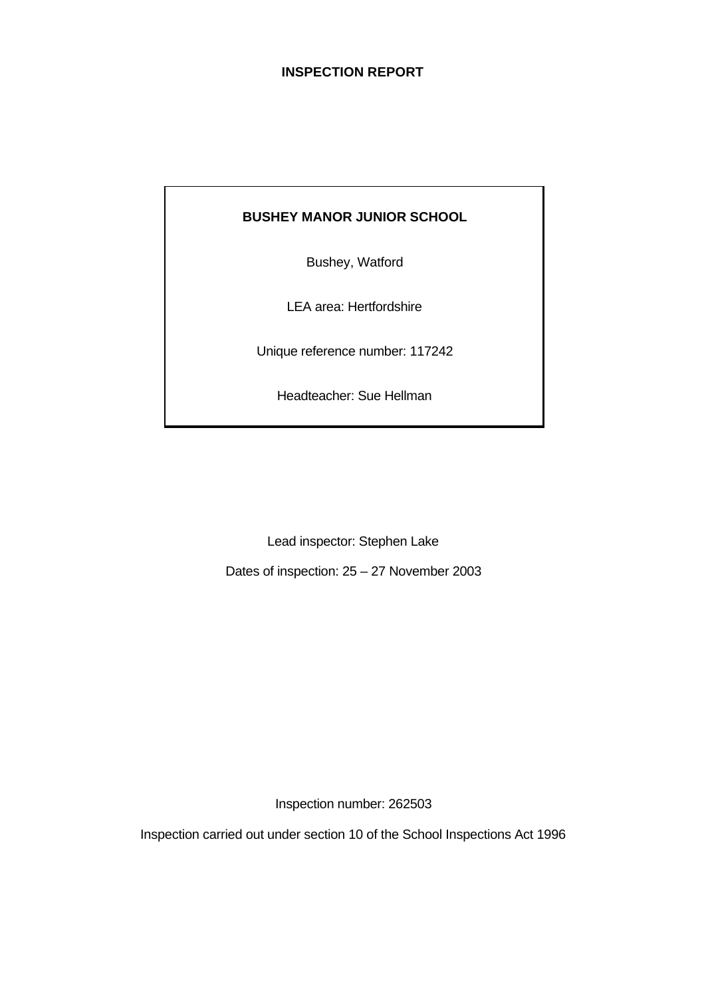# **INSPECTION REPORT**

## **BUSHEY MANOR JUNIOR SCHOOL**

Bushey, Watford

LEA area: Hertfordshire

Unique reference number: 117242

Headteacher: Sue Hellman

Lead inspector: Stephen Lake

Dates of inspection: 25 – 27 November 2003

Inspection number: 262503

Inspection carried out under section 10 of the School Inspections Act 1996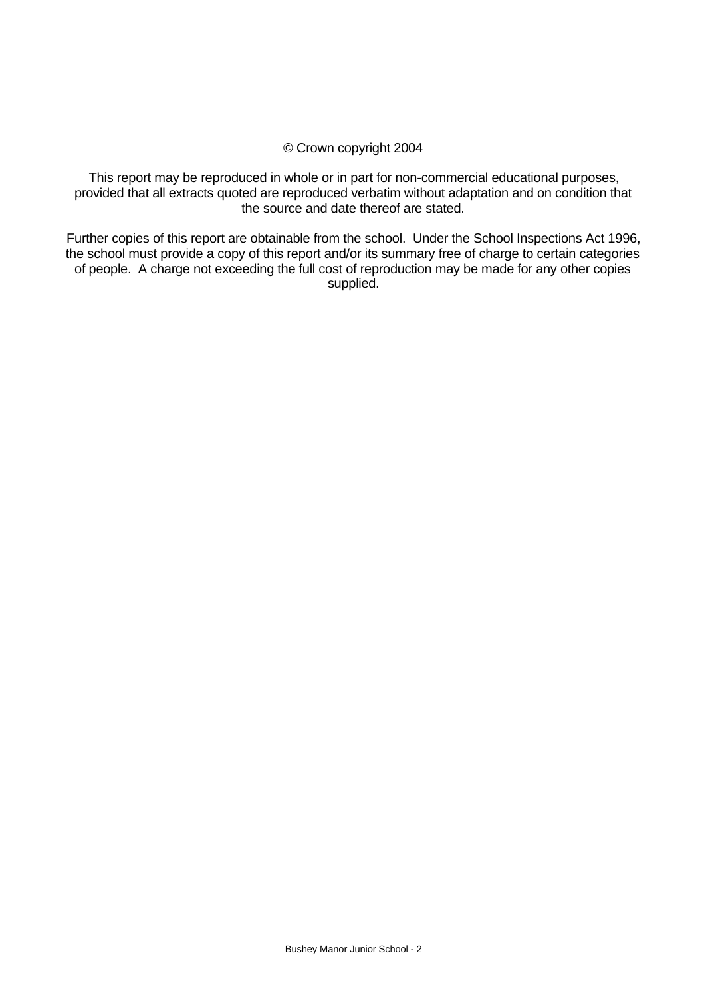### © Crown copyright 2004

This report may be reproduced in whole or in part for non-commercial educational purposes, provided that all extracts quoted are reproduced verbatim without adaptation and on condition that the source and date thereof are stated.

Further copies of this report are obtainable from the school. Under the School Inspections Act 1996, the school must provide a copy of this report and/or its summary free of charge to certain categories of people. A charge not exceeding the full cost of reproduction may be made for any other copies supplied.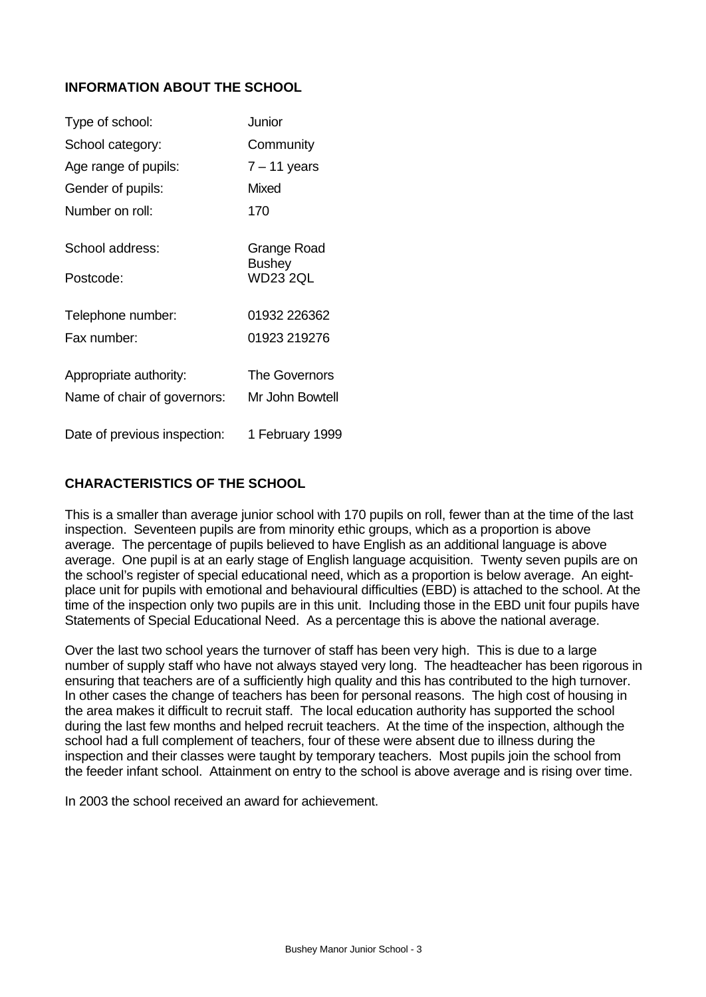# **INFORMATION ABOUT THE SCHOOL**

| Type of school:              | Junior                           |
|------------------------------|----------------------------------|
| School category:             | Community                        |
| Age range of pupils:         | $7 - 11$ years                   |
| Gender of pupils:            | Mixed                            |
| Number on roll:              | 170                              |
| School address:              | Grange Road                      |
| Postcode:                    | <b>Bushey</b><br><b>WD23 2QL</b> |
| Telephone number:            | 01932 226362                     |
| Fax number:                  | 01923 219276                     |
| Appropriate authority:       | The Governors                    |
| Name of chair of governors:  | Mr John Bowtell                  |
| Date of previous inspection: | 1 February 1999                  |

## **CHARACTERISTICS OF THE SCHOOL**

This is a smaller than average junior school with 170 pupils on roll, fewer than at the time of the last inspection. Seventeen pupils are from minority ethic groups, which as a proportion is above average. The percentage of pupils believed to have English as an additional language is above average. One pupil is at an early stage of English language acquisition. Twenty seven pupils are on the school's register of special educational need, which as a proportion is below average. An eightplace unit for pupils with emotional and behavioural difficulties (EBD) is attached to the school. At the time of the inspection only two pupils are in this unit. Including those in the EBD unit four pupils have Statements of Special Educational Need. As a percentage this is above the national average.

Over the last two school years the turnover of staff has been very high. This is due to a large number of supply staff who have not always stayed very long. The headteacher has been rigorous in ensuring that teachers are of a sufficiently high quality and this has contributed to the high turnover. In other cases the change of teachers has been for personal reasons. The high cost of housing in the area makes it difficult to recruit staff. The local education authority has supported the school during the last few months and helped recruit teachers. At the time of the inspection, although the school had a full complement of teachers, four of these were absent due to illness during the inspection and their classes were taught by temporary teachers. Most pupils join the school from the feeder infant school. Attainment on entry to the school is above average and is rising over time.

In 2003 the school received an award for achievement.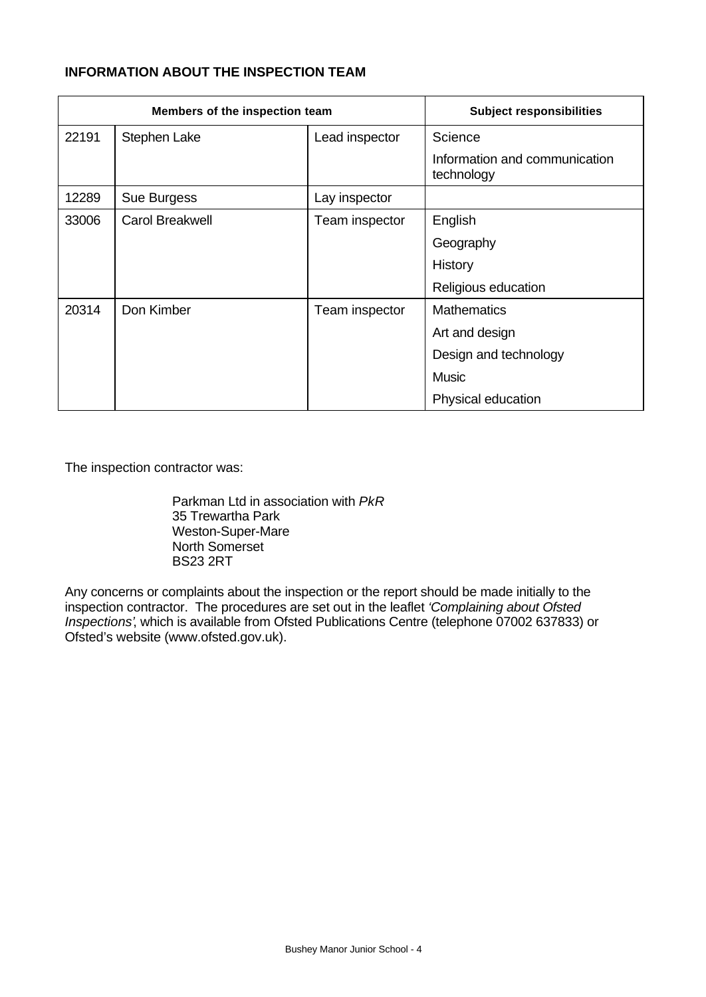# **INFORMATION ABOUT THE INSPECTION TEAM**

| Members of the inspection team |                        |                | <b>Subject responsibilities</b>             |
|--------------------------------|------------------------|----------------|---------------------------------------------|
| 22191                          | Stephen Lake           | Lead inspector | Science                                     |
|                                |                        |                | Information and communication<br>technology |
| 12289                          | Sue Burgess            | Lay inspector  |                                             |
| 33006                          | <b>Carol Breakwell</b> | Team inspector | English                                     |
|                                |                        |                | Geography                                   |
|                                |                        |                | History                                     |
|                                |                        |                | Religious education                         |
| 20314                          | Don Kimber             | Team inspector | <b>Mathematics</b>                          |
|                                |                        |                | Art and design                              |
|                                |                        |                | Design and technology                       |
|                                |                        |                | <b>Music</b>                                |
|                                |                        |                | Physical education                          |

The inspection contractor was:

Parkman Ltd in association with *PkR* 35 Trewartha Park Weston-Super-Mare North Somerset BS23 2RT

Any concerns or complaints about the inspection or the report should be made initially to the inspection contractor. The procedures are set out in the leaflet *'Complaining about Ofsted Inspections'*, which is available from Ofsted Publications Centre (telephone 07002 637833) or Ofsted's website (www.ofsted.gov.uk).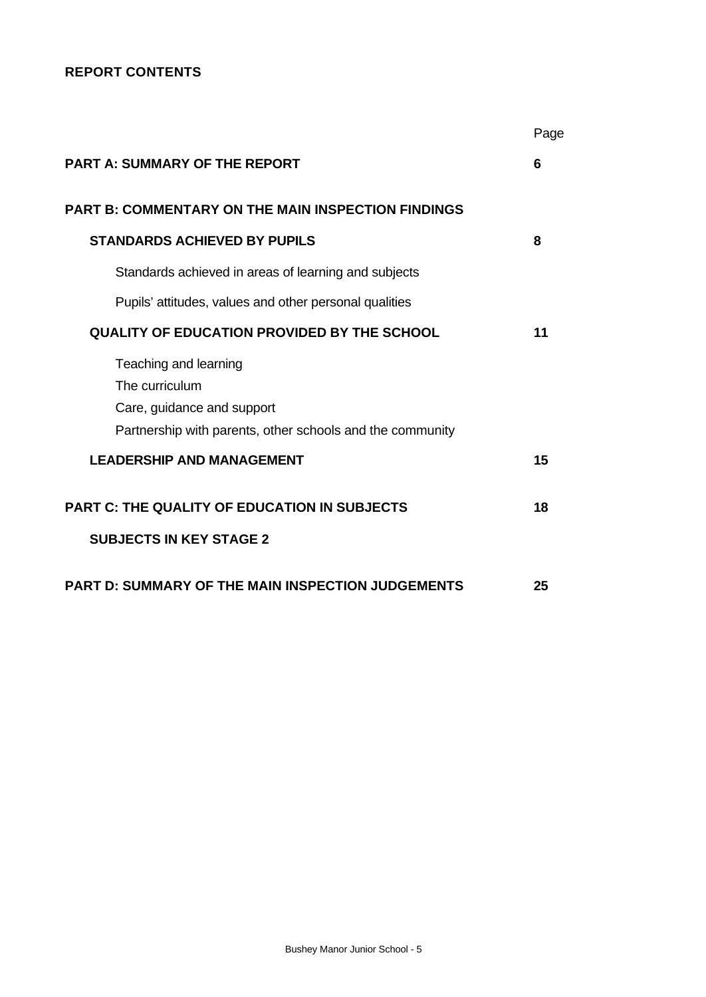# **REPORT CONTENTS**

|                                                           | Page |
|-----------------------------------------------------------|------|
| <b>PART A: SUMMARY OF THE REPORT</b>                      | 6    |
| <b>PART B: COMMENTARY ON THE MAIN INSPECTION FINDINGS</b> |      |
| <b>STANDARDS ACHIEVED BY PUPILS</b>                       | 8    |
| Standards achieved in areas of learning and subjects      |      |
| Pupils' attitudes, values and other personal qualities    |      |
| <b>QUALITY OF EDUCATION PROVIDED BY THE SCHOOL</b>        | 11   |
| Teaching and learning                                     |      |
| The curriculum                                            |      |
| Care, guidance and support                                |      |
| Partnership with parents, other schools and the community |      |
| <b>LEADERSHIP AND MANAGEMENT</b>                          | 15   |
| <b>PART C: THE QUALITY OF EDUCATION IN SUBJECTS</b>       | 18   |
| <b>SUBJECTS IN KEY STAGE 2</b>                            |      |
| <b>PART D: SUMMARY OF THE MAIN INSPECTION JUDGEMENTS</b>  | 25   |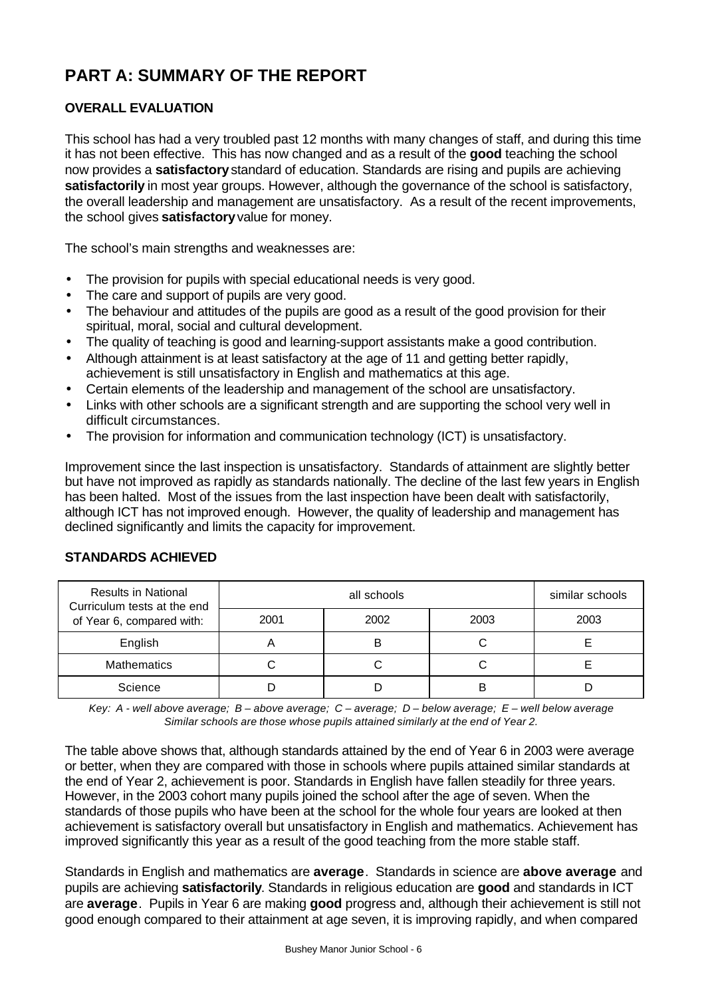# **PART A: SUMMARY OF THE REPORT**

# **OVERALL EVALUATION**

This school has had a very troubled past 12 months with many changes of staff, and during this time it has not been effective. This has now changed and as a result of the **good** teaching the school now provides a **satisfactory** standard of education. Standards are rising and pupils are achieving **satisfactorily** in most year groups. However, although the governance of the school is satisfactory, the overall leadership and management are unsatisfactory. As a result of the recent improvements, the school gives **satisfactory** value for money.

The school's main strengths and weaknesses are:

- The provision for pupils with special educational needs is very good.
- The care and support of pupils are very good.
- The behaviour and attitudes of the pupils are good as a result of the good provision for their spiritual, moral, social and cultural development.
- The quality of teaching is good and learning-support assistants make a good contribution.
- Although attainment is at least satisfactory at the age of 11 and getting better rapidly. achievement is still unsatisfactory in English and mathematics at this age.
- Certain elements of the leadership and management of the school are unsatisfactory.
- Links with other schools are a significant strength and are supporting the school very well in difficult circumstances.
- The provision for information and communication technology (ICT) is unsatisfactory.

Improvement since the last inspection is unsatisfactory. Standards of attainment are slightly better but have not improved as rapidly as standards nationally. The decline of the last few years in English has been halted. Most of the issues from the last inspection have been dealt with satisfactorily, although ICT has not improved enough. However, the quality of leadership and management has declined significantly and limits the capacity for improvement.

| <b>Results in National</b><br>Curriculum tests at the end |      | similar schools |      |      |
|-----------------------------------------------------------|------|-----------------|------|------|
| of Year 6, compared with:                                 | 2001 | 2002            | 2003 | 2003 |
| English                                                   |      | B               |      |      |
| <b>Mathematics</b>                                        |      |                 |      |      |
| Science                                                   |      |                 |      |      |

# **STANDARDS ACHIEVED**

*Key: A - well above average; B – above average; C – average; D – below average; E – well below average Similar schools are those whose pupils attained similarly at the end of Year 2.*

The table above shows that, although standards attained by the end of Year 6 in 2003 were average or better, when they are compared with those in schools where pupils attained similar standards at the end of Year 2, achievement is poor. Standards in English have fallen steadily for three years. However, in the 2003 cohort many pupils joined the school after the age of seven. When the standards of those pupils who have been at the school for the whole four years are looked at then achievement is satisfactory overall but unsatisfactory in English and mathematics. Achievement has improved significantly this year as a result of the good teaching from the more stable staff.

Standards in English and mathematics are **average**. Standards in science are **above average** and pupils are achieving **satisfactorily**. Standards in religious education are **good** and standards in ICT are **average**. Pupils in Year 6 are making **good** progress and, although their achievement is still not good enough compared to their attainment at age seven, it is improving rapidly, and when compared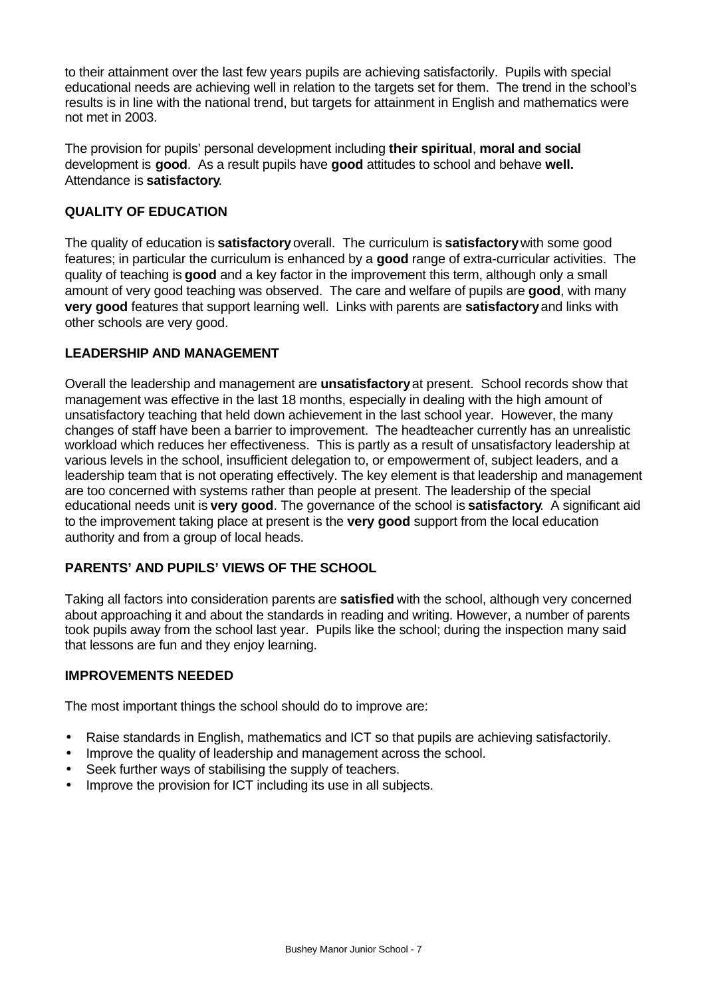to their attainment over the last few years pupils are achieving satisfactorily. Pupils with special educational needs are achieving well in relation to the targets set for them. The trend in the school's results is in line with the national trend, but targets for attainment in English and mathematics were not met in 2003.

The provision for pupils' personal development including **their spiritual**, **moral and social** development is **good**.As a result pupils have **good** attitudes to school and behave **well.** Attendance is **satisfactory**.

## **QUALITY OF EDUCATION**

The quality of education is **satisfactory** overall. The curriculum is **satisfactory** with some good features; in particular the curriculum is enhanced by a **good** range of extra-curricular activities. The quality of teaching is **good** and a key factor in the improvement this term, although only a small amount of very good teaching was observed. The care and welfare of pupils are **good**, with many **very good** features that support learning well. Links with parents are **satisfactory** and links with other schools are very good.

## **LEADERSHIP AND MANAGEMENT**

Overall the leadership and management are **unsatisfactory** at present. School records show that management was effective in the last 18 months, especially in dealing with the high amount of unsatisfactory teaching that held down achievement in the last school year. However, the many changes of staff have been a barrier to improvement. The headteacher currently has an unrealistic workload which reduces her effectiveness. This is partly as a result of unsatisfactory leadership at various levels in the school, insufficient delegation to, or empowerment of, subject leaders, and a leadership team that is not operating effectively. The key element is that leadership and management are too concerned with systems rather than people at present. The leadership of the special educational needs unit is **very good**. The governance of the school is **satisfactory**. A significant aid to the improvement taking place at present is the **very good** support from the local education authority and from a group of local heads.

# **PARENTS' AND PUPILS' VIEWS OF THE SCHOOL**

Taking all factors into consideration parents are **satisfied** with the school, although very concerned about approaching it and about the standards in reading and writing. However, a number of parents took pupils away from the school last year. Pupils like the school; during the inspection many said that lessons are fun and they enjoy learning.

### **IMPROVEMENTS NEEDED**

The most important things the school should do to improve are:

- Raise standards in English, mathematics and ICT so that pupils are achieving satisfactorily.
- Improve the quality of leadership and management across the school.
- Seek further ways of stabilising the supply of teachers.
- Improve the provision for ICT including its use in all subjects.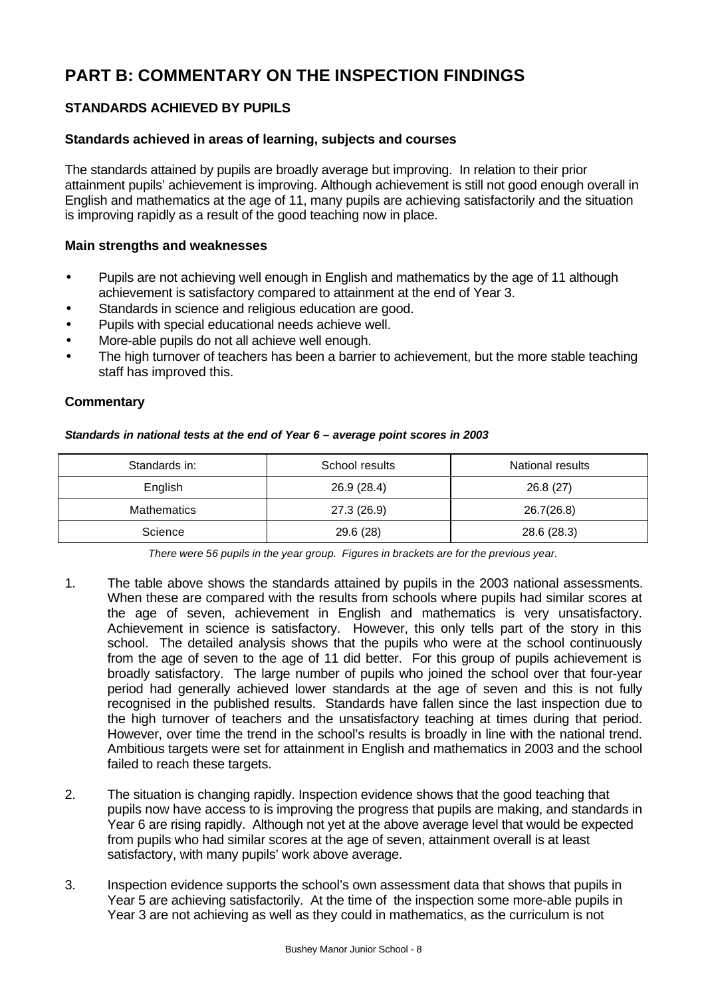# **PART B: COMMENTARY ON THE INSPECTION FINDINGS**

# **STANDARDS ACHIEVED BY PUPILS**

## **Standards achieved in areas of learning, subjects and courses**

The standards attained by pupils are broadly average but improving. In relation to their prior attainment pupils' achievement is improving. Although achievement is still not good enough overall in English and mathematics at the age of 11, many pupils are achieving satisfactorily and the situation is improving rapidly as a result of the good teaching now in place.

#### **Main strengths and weaknesses**

- Pupils are not achieving well enough in English and mathematics by the age of 11 although achievement is satisfactory compared to attainment at the end of Year 3.
- Standards in science and religious education are good.
- Pupils with special educational needs achieve well.
- More-able pupils do not all achieve well enough.
- The high turnover of teachers has been a barrier to achievement, but the more stable teaching staff has improved this.

#### **Commentary**

#### *Standards in national tests at the end of Year 6 – average point scores in 2003*

| Standards in:      | School results | National results |
|--------------------|----------------|------------------|
| English            | 26.9 (28.4)    | 26.8(27)         |
| <b>Mathematics</b> | 27.3 (26.9)    | 26.7(26.8)       |
| Science            | 29.6 (28)      | 28.6 (28.3)      |

*There were 56 pupils in the year group. Figures in brackets are for the previous year.*

- 1. The table above shows the standards attained by pupils in the 2003 national assessments. When these are compared with the results from schools where pupils had similar scores at the age of seven, achievement in English and mathematics is very unsatisfactory. Achievement in science is satisfactory. However, this only tells part of the story in this school. The detailed analysis shows that the pupils who were at the school continuously from the age of seven to the age of 11 did better. For this group of pupils achievement is broadly satisfactory. The large number of pupils who joined the school over that four-year period had generally achieved lower standards at the age of seven and this is not fully recognised in the published results. Standards have fallen since the last inspection due to the high turnover of teachers and the unsatisfactory teaching at times during that period. However, over time the trend in the school's results is broadly in line with the national trend. Ambitious targets were set for attainment in English and mathematics in 2003 and the school failed to reach these targets.
- 2. The situation is changing rapidly. Inspection evidence shows that the good teaching that pupils now have access to is improving the progress that pupils are making, and standards in Year 6 are rising rapidly. Although not yet at the above average level that would be expected from pupils who had similar scores at the age of seven, attainment overall is at least satisfactory, with many pupils' work above average.
- 3. Inspection evidence supports the school's own assessment data that shows that pupils in Year 5 are achieving satisfactorily. At the time of the inspection some more-able pupils in Year 3 are not achieving as well as they could in mathematics, as the curriculum is not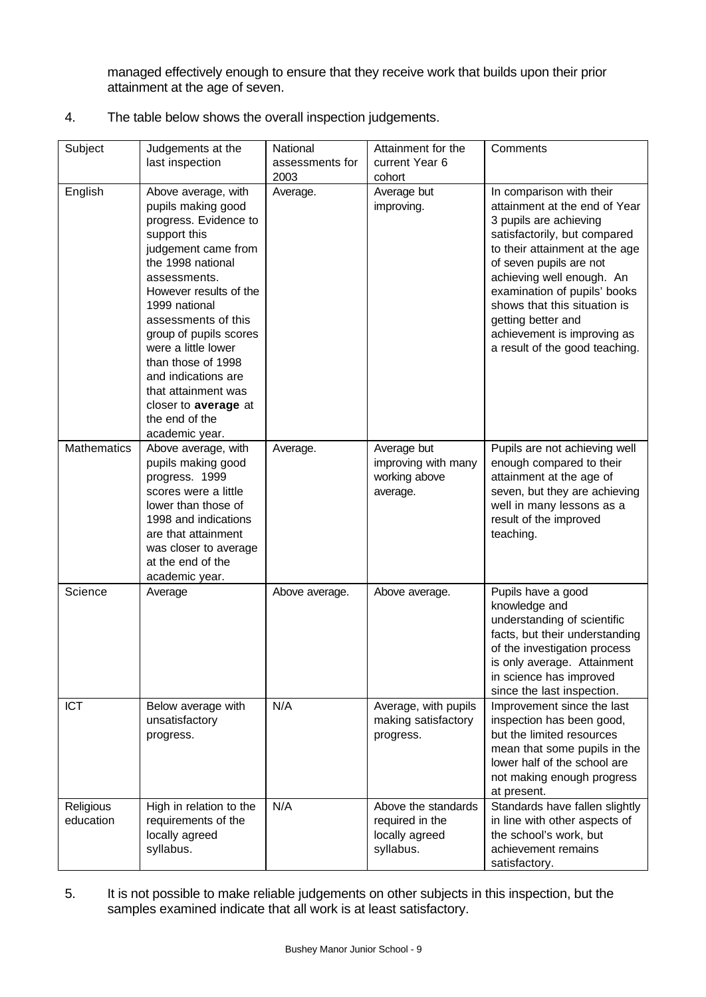managed effectively enough to ensure that they receive work that builds upon their prior attainment at the age of seven.

4. The table below shows the overall inspection judgements.

| Subject                | Judgements at the                                                                                                                                                                                                                                                                                                                                                                                 | National        | Attainment for the                                                    | Comments                                                                                                                                                                                                                                                                                                                                                             |
|------------------------|---------------------------------------------------------------------------------------------------------------------------------------------------------------------------------------------------------------------------------------------------------------------------------------------------------------------------------------------------------------------------------------------------|-----------------|-----------------------------------------------------------------------|----------------------------------------------------------------------------------------------------------------------------------------------------------------------------------------------------------------------------------------------------------------------------------------------------------------------------------------------------------------------|
|                        | last inspection                                                                                                                                                                                                                                                                                                                                                                                   | assessments for | current Year 6                                                        |                                                                                                                                                                                                                                                                                                                                                                      |
|                        |                                                                                                                                                                                                                                                                                                                                                                                                   | 2003            | cohort                                                                |                                                                                                                                                                                                                                                                                                                                                                      |
| English                | Above average, with<br>pupils making good<br>progress. Evidence to<br>support this<br>judgement came from<br>the 1998 national<br>assessments.<br>However results of the<br>1999 national<br>assessments of this<br>group of pupils scores<br>were a little lower<br>than those of 1998<br>and indications are<br>that attainment was<br>closer to average at<br>the end of the<br>academic year. | Average.        | Average but<br>improving.                                             | In comparison with their<br>attainment at the end of Year<br>3 pupils are achieving<br>satisfactorily, but compared<br>to their attainment at the age<br>of seven pupils are not<br>achieving well enough. An<br>examination of pupils' books<br>shows that this situation is<br>getting better and<br>achievement is improving as<br>a result of the good teaching. |
| Mathematics            | Above average, with<br>pupils making good<br>progress. 1999<br>scores were a little<br>lower than those of<br>1998 and indications<br>are that attainment<br>was closer to average<br>at the end of the<br>academic year.                                                                                                                                                                         | Average.        | Average but<br>improving with many<br>working above<br>average.       | Pupils are not achieving well<br>enough compared to their<br>attainment at the age of<br>seven, but they are achieving<br>well in many lessons as a<br>result of the improved<br>teaching.                                                                                                                                                                           |
| Science                | Average                                                                                                                                                                                                                                                                                                                                                                                           | Above average.  | Above average.                                                        | Pupils have a good<br>knowledge and<br>understanding of scientific<br>facts, but their understanding<br>of the investigation process<br>is only average. Attainment<br>in science has improved<br>since the last inspection.                                                                                                                                         |
| <b>ICT</b>             | Below average with<br>unsatisfactory<br>progress.                                                                                                                                                                                                                                                                                                                                                 | N/A             | Average, with pupils<br>making satisfactory<br>progress.              | Improvement since the last<br>inspection has been good,<br>but the limited resources<br>mean that some pupils in the<br>lower half of the school are<br>not making enough progress<br>at present.                                                                                                                                                                    |
| Religious<br>education | High in relation to the<br>requirements of the<br>locally agreed<br>syllabus.                                                                                                                                                                                                                                                                                                                     | N/A             | Above the standards<br>required in the<br>locally agreed<br>syllabus. | Standards have fallen slightly<br>in line with other aspects of<br>the school's work, but<br>achievement remains<br>satisfactory.                                                                                                                                                                                                                                    |

5. It is not possible to make reliable judgements on other subjects in this inspection, but the samples examined indicate that all work is at least satisfactory.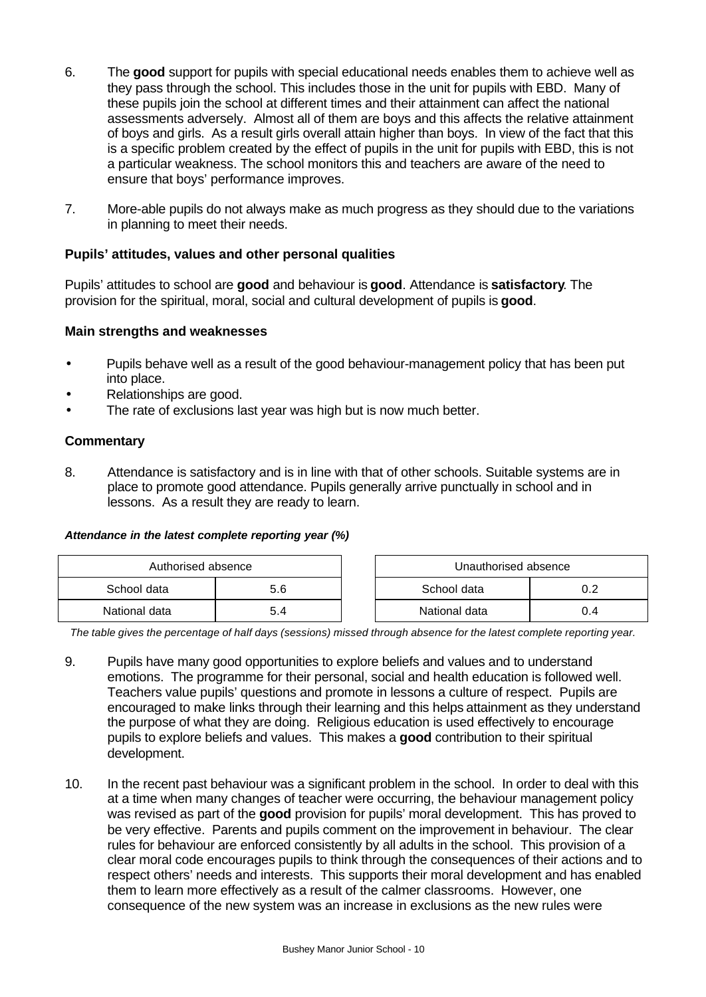- 6. The **good** support for pupils with special educational needs enables them to achieve well as they pass through the school. This includes those in the unit for pupils with EBD. Many of these pupils join the school at different times and their attainment can affect the national assessments adversely. Almost all of them are boys and this affects the relative attainment of boys and girls. As a result girls overall attain higher than boys. In view of the fact that this is a specific problem created by the effect of pupils in the unit for pupils with EBD, this is not a particular weakness. The school monitors this and teachers are aware of the need to ensure that boys' performance improves.
- 7. More-able pupils do not always make as much progress as they should due to the variations in planning to meet their needs.

## **Pupils' attitudes, values and other personal qualities**

Pupils' attitudes to school are **good** and behaviour is **good**. Attendance is **satisfactory**. The provision for the spiritual, moral, social and cultural development of pupils is **good**.

#### **Main strengths and weaknesses**

- Pupils behave well as a result of the good behaviour-management policy that has been put into place.
- Relationships are good.
- The rate of exclusions last year was high but is now much better.

#### **Commentary**

8. Attendance is satisfactory and is in line with that of other schools. Suitable systems are in place to promote good attendance. Pupils generally arrive punctually in school and in lessons. As a result they are ready to learn.

#### *Attendance in the latest complete reporting year (%)*

| Authorised absence |     | Unauthorised absence |     |
|--------------------|-----|----------------------|-----|
| School data        | 5.6 | School data          |     |
| National data      |     | National data        | J.4 |

*The table gives the percentage of half days (sessions) missed through absence for the latest complete reporting year.*

- 9. Pupils have many good opportunities to explore beliefs and values and to understand emotions. The programme for their personal, social and health education is followed well. Teachers value pupils' questions and promote in lessons a culture of respect. Pupils are encouraged to make links through their learning and this helps attainment as they understand the purpose of what they are doing. Religious education is used effectively to encourage pupils to explore beliefs and values. This makes a **good** contribution to their spiritual development.
- 10. In the recent past behaviour was a significant problem in the school. In order to deal with this at a time when many changes of teacher were occurring, the behaviour management policy was revised as part of the **good** provision for pupils' moral development. This has proved to be very effective. Parents and pupils comment on the improvement in behaviour. The clear rules for behaviour are enforced consistently by all adults in the school. This provision of a clear moral code encourages pupils to think through the consequences of their actions and to respect others' needs and interests. This supports their moral development and has enabled them to learn more effectively as a result of the calmer classrooms. However, one consequence of the new system was an increase in exclusions as the new rules were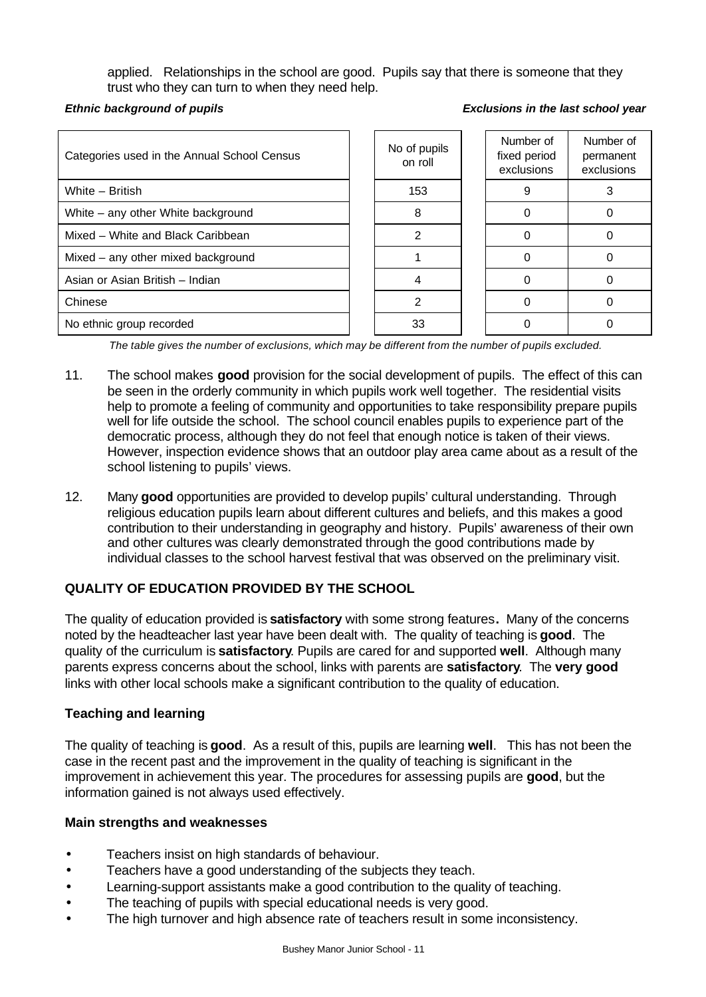applied. Relationships in the school are good. Pupils say that there is someone that they trust who they can turn to when they need help.

## **Ethnic background of pupils**

| Categories used in the Annual School Census | No of pupils<br>on roll | Number of<br>fixed period<br>exclusions | Number of<br>permanent<br>exclusions |
|---------------------------------------------|-------------------------|-----------------------------------------|--------------------------------------|
| White - British                             | 153                     |                                         |                                      |
| White – any other White background          |                         |                                         |                                      |
| Mixed - White and Black Caribbean           |                         |                                         |                                      |
| Mixed - any other mixed background          |                         |                                         |                                      |
| Asian or Asian British - Indian             |                         |                                         |                                      |
| Chinese                                     |                         |                                         |                                      |
| No ethnic group recorded                    | 33                      |                                         |                                      |

*The table gives the number of exclusions, which may be different from the number of pupils excluded.*

- 11. The school makes **good** provision for the social development of pupils. The effect of this can be seen in the orderly community in which pupils work well together. The residential visits help to promote a feeling of community and opportunities to take responsibility prepare pupils well for life outside the school. The school council enables pupils to experience part of the democratic process, although they do not feel that enough notice is taken of their views. However, inspection evidence shows that an outdoor play area came about as a result of the school listening to pupils' views.
- 12. Many **good** opportunities are provided to develop pupils' cultural understanding. Through religious education pupils learn about different cultures and beliefs, and this makes a good contribution to their understanding in geography and history. Pupils' awareness of their own and other cultures was clearly demonstrated through the good contributions made by individual classes to the school harvest festival that was observed on the preliminary visit.

# **QUALITY OF EDUCATION PROVIDED BY THE SCHOOL**

The quality of education provided is **satisfactory** with some strong features**.** Many of the concerns noted by the headteacher last year have been dealt with. The quality of teaching is **good**.The quality of the curriculum is **satisfactory**. Pupils are cared for and supported **well**. Although many parents express concerns about the school, links with parents are **satisfactory**.The **very good** links with other local schools make a significant contribution to the quality of education.

### **Teaching and learning**

The quality of teaching is **good**.As a result of this, pupils are learning **well**. This has not been the case in the recent past and the improvement in the quality of teaching is significant in the improvement in achievement this year. The procedures for assessing pupils are **good**, but the information gained is not always used effectively.

### **Main strengths and weaknesses**

- Teachers insist on high standards of behaviour.
- Teachers have a good understanding of the subjects they teach.
- Learning-support assistants make a good contribution to the quality of teaching.
- The teaching of pupils with special educational needs is very good.
- The high turnover and high absence rate of teachers result in some inconsistency.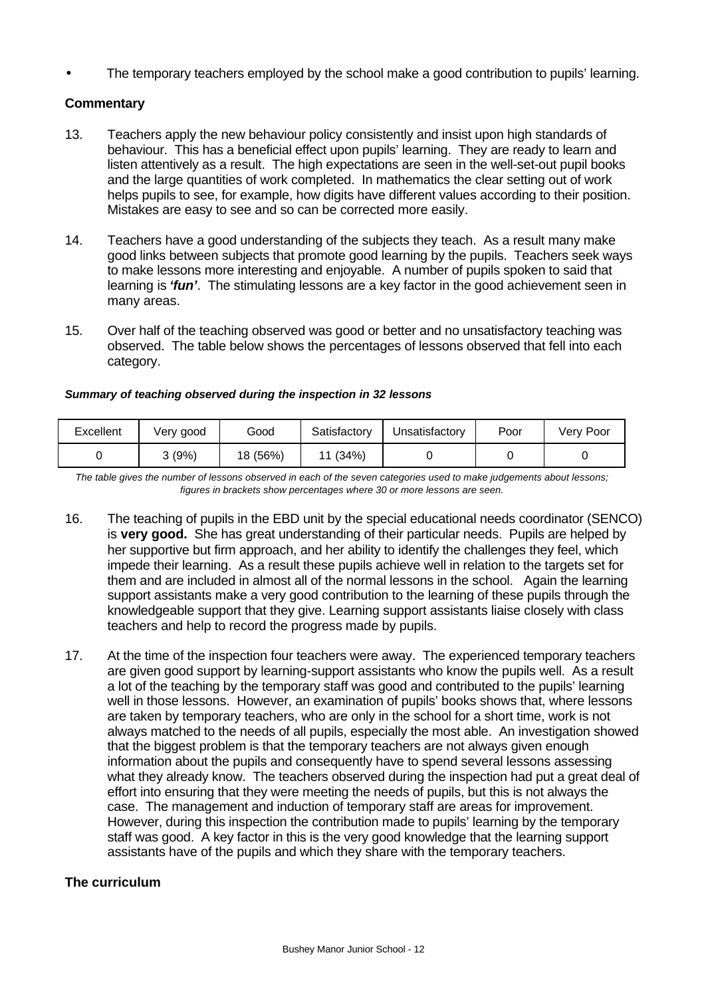• The temporary teachers employed by the school make a good contribution to pupils' learning.

#### **Commentary**

- 13. Teachers apply the new behaviour policy consistently and insist upon high standards of behaviour. This has a beneficial effect upon pupils' learning. They are ready to learn and listen attentively as a result. The high expectations are seen in the well-set-out pupil books and the large quantities of work completed. In mathematics the clear setting out of work helps pupils to see, for example, how digits have different values according to their position. Mistakes are easy to see and so can be corrected more easily.
- 14. Teachers have a good understanding of the subjects they teach. As a result many make good links between subjects that promote good learning by the pupils. Teachers seek ways to make lessons more interesting and enjoyable. A number of pupils spoken to said that learning is *'fun'*. The stimulating lessons are a key factor in the good achievement seen in many areas.
- 15. Over half of the teaching observed was good or better and no unsatisfactory teaching was observed. The table below shows the percentages of lessons observed that fell into each category.

| Excellent | Very good | Good     | Satisfactory | Unsatisfactory | Poor | Very Poor |
|-----------|-----------|----------|--------------|----------------|------|-----------|
|           | 3(9%)     | 18 (56%) | (34%)        |                |      |           |

#### *Summary of teaching observed during the inspection in 32 lessons*

*The table gives the number of lessons observed in each of the seven categories used to make judgements about lessons; figures in brackets show percentages where 30 or more lessons are seen.*

- 16. The teaching of pupils in the EBD unit by the special educational needs coordinator (SENCO) is **very good.** She has great understanding of their particular needs. Pupils are helped by her supportive but firm approach, and her ability to identify the challenges they feel, which impede their learning. As a result these pupils achieve well in relation to the targets set for them and are included in almost all of the normal lessons in the school. Again the learning support assistants make a very good contribution to the learning of these pupils through the knowledgeable support that they give. Learning support assistants liaise closely with class teachers and help to record the progress made by pupils.
- 17. At the time of the inspection four teachers were away. The experienced temporary teachers are given good support by learning-support assistants who know the pupils well. As a result a lot of the teaching by the temporary staff was good and contributed to the pupils' learning well in those lessons. However, an examination of pupils' books shows that, where lessons are taken by temporary teachers, who are only in the school for a short time, work is not always matched to the needs of all pupils, especially the most able. An investigation showed that the biggest problem is that the temporary teachers are not always given enough information about the pupils and consequently have to spend several lessons assessing what they already know. The teachers observed during the inspection had put a great deal of effort into ensuring that they were meeting the needs of pupils, but this is not always the case. The management and induction of temporary staff are areas for improvement. However, during this inspection the contribution made to pupils' learning by the temporary staff was good. A key factor in this is the very good knowledge that the learning support assistants have of the pupils and which they share with the temporary teachers.

#### **The curriculum**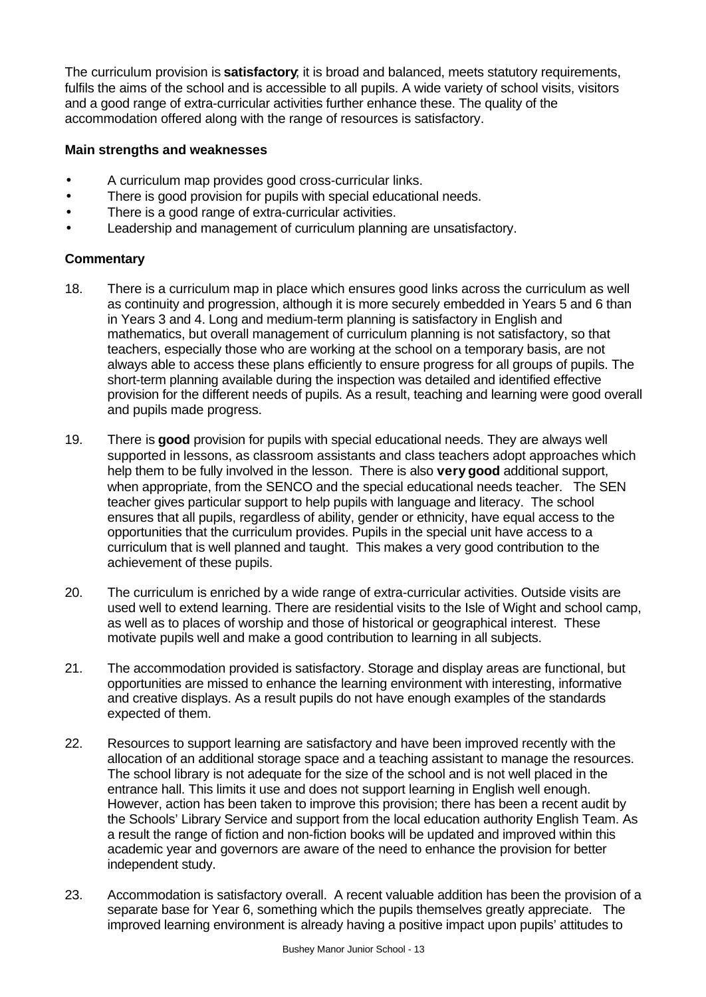The curriculum provision is **satisfactory**; it is broad and balanced, meets statutory requirements, fulfils the aims of the school and is accessible to all pupils. A wide variety of school visits, visitors and a good range of extra-curricular activities further enhance these. The quality of the accommodation offered along with the range of resources is satisfactory.

## **Main strengths and weaknesses**

- A curriculum map provides good cross-curricular links.
- There is good provision for pupils with special educational needs.
- There is a good range of extra-curricular activities.
- Leadership and management of curriculum planning are unsatisfactory.

## **Commentary**

- 18. There is a curriculum map in place which ensures good links across the curriculum as well as continuity and progression, although it is more securely embedded in Years 5 and 6 than in Years 3 and 4. Long and medium-term planning is satisfactory in English and mathematics, but overall management of curriculum planning is not satisfactory, so that teachers, especially those who are working at the school on a temporary basis, are not always able to access these plans efficiently to ensure progress for all groups of pupils. The short-term planning available during the inspection was detailed and identified effective provision for the different needs of pupils. As a result, teaching and learning were good overall and pupils made progress.
- 19. There is **good** provision for pupils with special educational needs. They are always well supported in lessons, as classroom assistants and class teachers adopt approaches which help them to be fully involved in the lesson. There is also **very good** additional support, when appropriate, from the SENCO and the special educational needs teacher. The SEN teacher gives particular support to help pupils with language and literacy. The school ensures that all pupils, regardless of ability, gender or ethnicity, have equal access to the opportunities that the curriculum provides. Pupils in the special unit have access to a curriculum that is well planned and taught. This makes a very good contribution to the achievement of these pupils.
- 20. The curriculum is enriched by a wide range of extra-curricular activities. Outside visits are used well to extend learning. There are residential visits to the Isle of Wight and school camp, as well as to places of worship and those of historical or geographical interest. These motivate pupils well and make a good contribution to learning in all subjects.
- 21. The accommodation provided is satisfactory. Storage and display areas are functional, but opportunities are missed to enhance the learning environment with interesting, informative and creative displays. As a result pupils do not have enough examples of the standards expected of them.
- 22. Resources to support learning are satisfactory and have been improved recently with the allocation of an additional storage space and a teaching assistant to manage the resources. The school library is not adequate for the size of the school and is not well placed in the entrance hall. This limits it use and does not support learning in English well enough. However, action has been taken to improve this provision; there has been a recent audit by the Schools' Library Service and support from the local education authority English Team. As a result the range of fiction and non-fiction books will be updated and improved within this academic year and governors are aware of the need to enhance the provision for better independent study.
- 23. Accommodation is satisfactory overall. A recent valuable addition has been the provision of a separate base for Year 6, something which the pupils themselves greatly appreciate. The improved learning environment is already having a positive impact upon pupils' attitudes to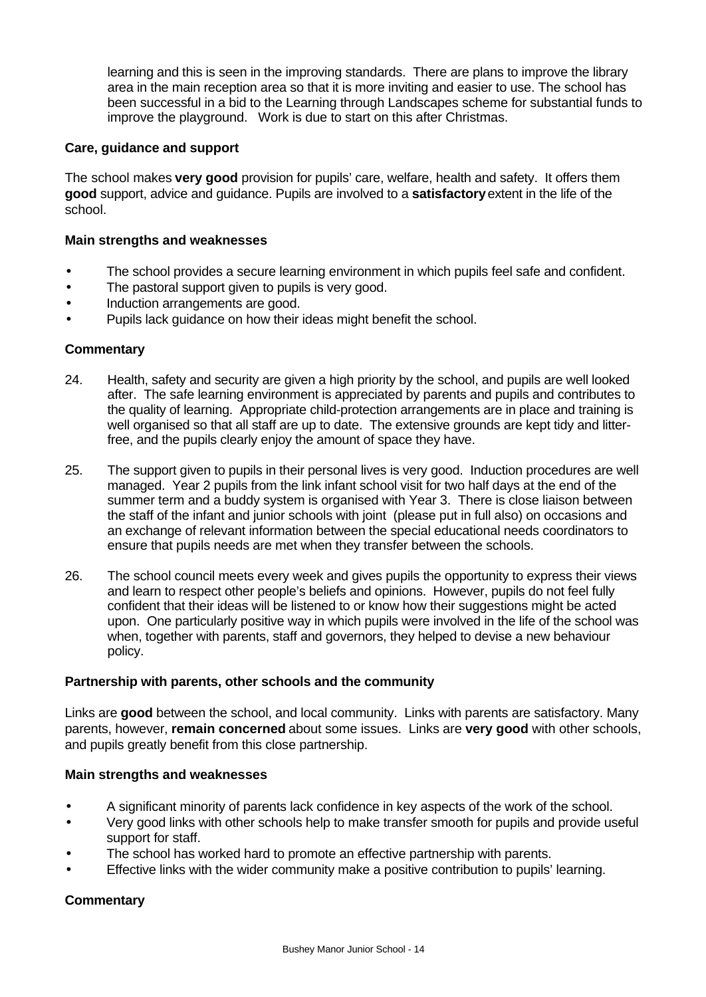learning and this is seen in the improving standards. There are plans to improve the library area in the main reception area so that it is more inviting and easier to use. The school has been successful in a bid to the Learning through Landscapes scheme for substantial funds to improve the playground. Work is due to start on this after Christmas.

## **Care, guidance and support**

The school makes **very good** provision for pupils' care, welfare, health and safety. It offers them **good** support, advice and guidance. Pupils are involved to a **satisfactory** extent in the life of the school.

## **Main strengths and weaknesses**

- The school provides a secure learning environment in which pupils feel safe and confident.
- The pastoral support given to pupils is very good.
- Induction arrangements are good.
- Pupils lack guidance on how their ideas might benefit the school.

### **Commentary**

- 24. Health, safety and security are given a high priority by the school, and pupils are well looked after. The safe learning environment is appreciated by parents and pupils and contributes to the quality of learning. Appropriate child-protection arrangements are in place and training is well organised so that all staff are up to date. The extensive grounds are kept tidy and litterfree, and the pupils clearly enjoy the amount of space they have.
- 25. The support given to pupils in their personal lives is very good. Induction procedures are well managed. Year 2 pupils from the link infant school visit for two half days at the end of the summer term and a buddy system is organised with Year 3. There is close liaison between the staff of the infant and junior schools with joint (please put in full also) on occasions and an exchange of relevant information between the special educational needs coordinators to ensure that pupils needs are met when they transfer between the schools.
- 26. The school council meets every week and gives pupils the opportunity to express their views and learn to respect other people's beliefs and opinions. However, pupils do not feel fully confident that their ideas will be listened to or know how their suggestions might be acted upon. One particularly positive way in which pupils were involved in the life of the school was when, together with parents, staff and governors, they helped to devise a new behaviour policy.

### **Partnership with parents, other schools and the community**

Links are **good** between the school, and local community. Links with parents are satisfactory. Many parents, however, **remain concerned** about some issues. Links are **very good** with other schools, and pupils greatly benefit from this close partnership.

### **Main strengths and weaknesses**

- A significant minority of parents lack confidence in key aspects of the work of the school.
- Very good links with other schools help to make transfer smooth for pupils and provide useful support for staff.
- The school has worked hard to promote an effective partnership with parents.
- Effective links with the wider community make a positive contribution to pupils' learning.

# **Commentary**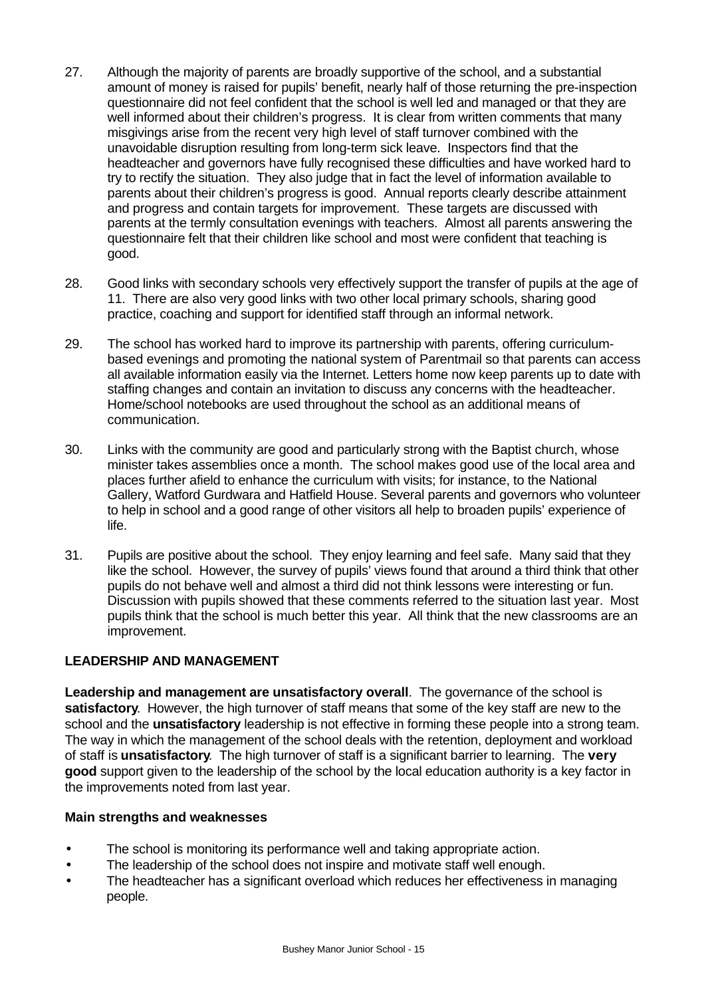- 27. Although the majority of parents are broadly supportive of the school, and a substantial amount of money is raised for pupils' benefit, nearly half of those returning the pre-inspection questionnaire did not feel confident that the school is well led and managed or that they are well informed about their children's progress. It is clear from written comments that many misgivings arise from the recent very high level of staff turnover combined with the unavoidable disruption resulting from long-term sick leave. Inspectors find that the headteacher and governors have fully recognised these difficulties and have worked hard to try to rectify the situation. They also judge that in fact the level of information available to parents about their children's progress is good. Annual reports clearly describe attainment and progress and contain targets for improvement. These targets are discussed with parents at the termly consultation evenings with teachers. Almost all parents answering the questionnaire felt that their children like school and most were confident that teaching is good.
- 28. Good links with secondary schools very effectively support the transfer of pupils at the age of 11. There are also very good links with two other local primary schools, sharing good practice, coaching and support for identified staff through an informal network.
- 29. The school has worked hard to improve its partnership with parents, offering curriculumbased evenings and promoting the national system of Parentmail so that parents can access all available information easily via the Internet. Letters home now keep parents up to date with staffing changes and contain an invitation to discuss any concerns with the headteacher. Home/school notebooks are used throughout the school as an additional means of communication.
- 30. Links with the community are good and particularly strong with the Baptist church, whose minister takes assemblies once a month. The school makes good use of the local area and places further afield to enhance the curriculum with visits; for instance, to the National Gallery, Watford Gurdwara and Hatfield House. Several parents and governors who volunteer to help in school and a good range of other visitors all help to broaden pupils' experience of life.
- 31. Pupils are positive about the school. They enjoy learning and feel safe. Many said that they like the school. However, the survey of pupils' views found that around a third think that other pupils do not behave well and almost a third did not think lessons were interesting or fun. Discussion with pupils showed that these comments referred to the situation last year. Most pupils think that the school is much better this year. All think that the new classrooms are an improvement.

# **LEADERSHIP AND MANAGEMENT**

**Leadership and management are unsatisfactory overall**. The governance of the school is **satisfactory**. However, the high turnover of staff means that some of the key staff are new to the school and the **unsatisfactory** leadership is not effective in forming these people into a strong team. The way in which the management of the school deals with the retention, deployment and workload of staff is **unsatisfactory**. The high turnover of staff is a significant barrier to learning. The **very good** support given to the leadership of the school by the local education authority is a key factor in the improvements noted from last year.

### **Main strengths and weaknesses**

- The school is monitoring its performance well and taking appropriate action.
- The leadership of the school does not inspire and motivate staff well enough.
- The headteacher has a significant overload which reduces her effectiveness in managing people.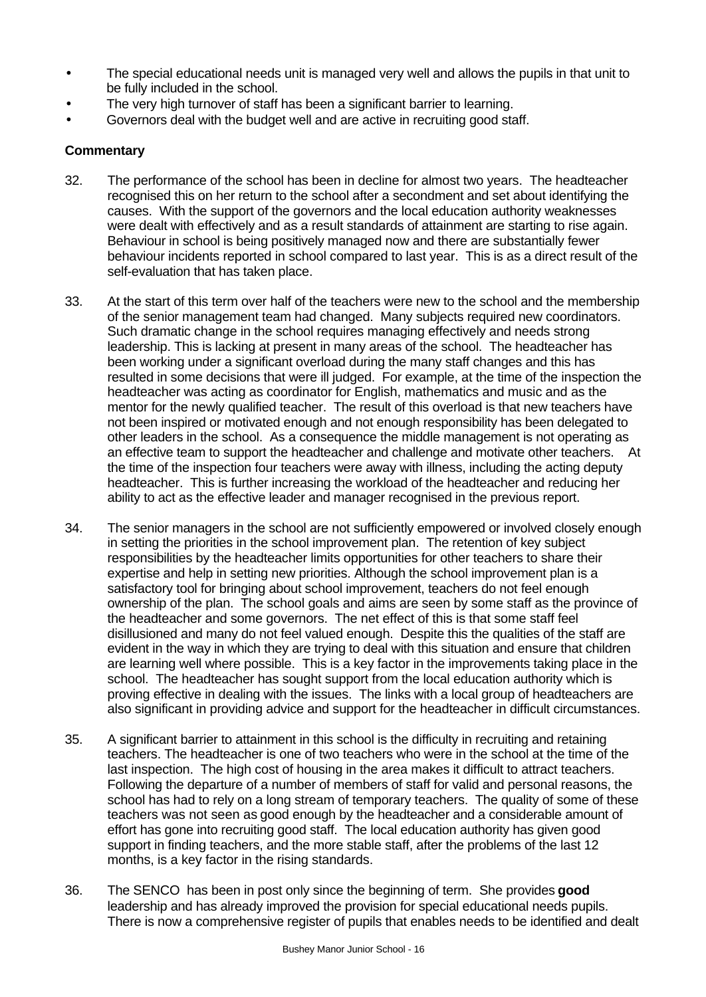- The special educational needs unit is managed very well and allows the pupils in that unit to be fully included in the school.
- The very high turnover of staff has been a significant barrier to learning.
- Governors deal with the budget well and are active in recruiting good staff.

## **Commentary**

- 32. The performance of the school has been in decline for almost two years. The headteacher recognised this on her return to the school after a secondment and set about identifying the causes. With the support of the governors and the local education authority weaknesses were dealt with effectively and as a result standards of attainment are starting to rise again. Behaviour in school is being positively managed now and there are substantially fewer behaviour incidents reported in school compared to last year. This is as a direct result of the self-evaluation that has taken place.
- 33. At the start of this term over half of the teachers were new to the school and the membership of the senior management team had changed. Many subjects required new coordinators. Such dramatic change in the school requires managing effectively and needs strong leadership. This is lacking at present in many areas of the school. The headteacher has been working under a significant overload during the many staff changes and this has resulted in some decisions that were ill judged. For example, at the time of the inspection the headteacher was acting as coordinator for English, mathematics and music and as the mentor for the newly qualified teacher. The result of this overload is that new teachers have not been inspired or motivated enough and not enough responsibility has been delegated to other leaders in the school. As a consequence the middle management is not operating as an effective team to support the headteacher and challenge and motivate other teachers. At the time of the inspection four teachers were away with illness, including the acting deputy headteacher. This is further increasing the workload of the headteacher and reducing her ability to act as the effective leader and manager recognised in the previous report.
- 34. The senior managers in the school are not sufficiently empowered or involved closely enough in setting the priorities in the school improvement plan. The retention of key subject responsibilities by the headteacher limits opportunities for other teachers to share their expertise and help in setting new priorities. Although the school improvement plan is a satisfactory tool for bringing about school improvement, teachers do not feel enough ownership of the plan. The school goals and aims are seen by some staff as the province of the headteacher and some governors. The net effect of this is that some staff feel disillusioned and many do not feel valued enough. Despite this the qualities of the staff are evident in the way in which they are trying to deal with this situation and ensure that children are learning well where possible. This is a key factor in the improvements taking place in the school. The headteacher has sought support from the local education authority which is proving effective in dealing with the issues. The links with a local group of headteachers are also significant in providing advice and support for the headteacher in difficult circumstances.
- 35. A significant barrier to attainment in this school is the difficulty in recruiting and retaining teachers. The headteacher is one of two teachers who were in the school at the time of the last inspection. The high cost of housing in the area makes it difficult to attract teachers. Following the departure of a number of members of staff for valid and personal reasons, the school has had to rely on a long stream of temporary teachers. The quality of some of these teachers was not seen as good enough by the headteacher and a considerable amount of effort has gone into recruiting good staff. The local education authority has given good support in finding teachers, and the more stable staff, after the problems of the last 12 months, is a key factor in the rising standards.
- 36. The SENCO has been in post only since the beginning of term. She provides **good** leadership and has already improved the provision for special educational needs pupils. There is now a comprehensive register of pupils that enables needs to be identified and dealt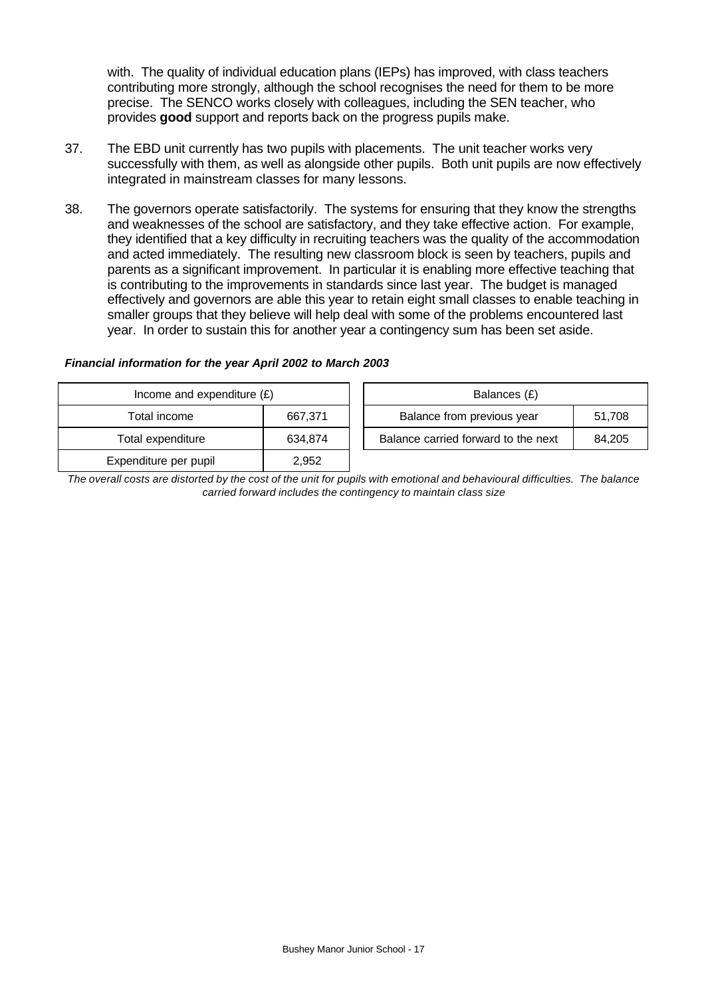with. The quality of individual education plans (IEPs) has improved, with class teachers contributing more strongly, although the school recognises the need for them to be more precise. The SENCO works closely with colleagues, including the SEN teacher, who provides **good** support and reports back on the progress pupils make.

- 37. The EBD unit currently has two pupils with placements. The unit teacher works very successfully with them, as well as alongside other pupils. Both unit pupils are now effectively integrated in mainstream classes for many lessons.
- 38. The governors operate satisfactorily. The systems for ensuring that they know the strengths and weaknesses of the school are satisfactory, and they take effective action. For example, they identified that a key difficulty in recruiting teachers was the quality of the accommodation and acted immediately. The resulting new classroom block is seen by teachers, pupils and parents as a significant improvement. In particular it is enabling more effective teaching that is contributing to the improvements in standards since last year. The budget is managed effectively and governors are able this year to retain eight small classes to enable teaching in smaller groups that they believe will help deal with some of the problems encountered last year. In order to sustain this for another year a contingency sum has been set aside.

#### *Financial information for the year April 2002 to March 2003*

| Income and expenditure $(E)$ |       | Balances (£)                        |
|------------------------------|-------|-------------------------------------|
| Total income                 |       | Balance from previous year          |
| 667.371                      |       | 51.708                              |
| Total expenditure            |       | Balance carried forward to the next |
| 634.874                      |       | 84.205                              |
| Expenditure per pupil        | 2.952 |                                     |

*The overall costs are distorted by the cost of the unit for pupils with emotional and behavioural difficulties. The balance carried forward includes the contingency to maintain class size*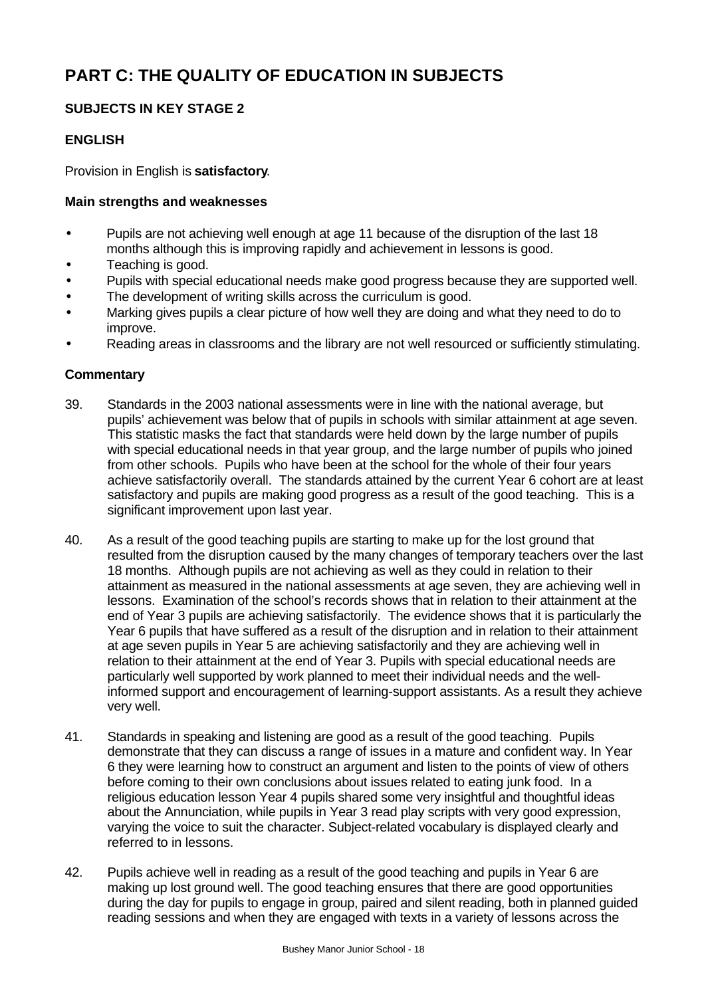# **PART C: THE QUALITY OF EDUCATION IN SUBJECTS**

# **SUBJECTS IN KEY STAGE 2**

# **ENGLISH**

Provision in English is **satisfactory**.

## **Main strengths and weaknesses**

- Pupils are not achieving well enough at age 11 because of the disruption of the last 18 months although this is improving rapidly and achievement in lessons is good.
- Teaching is good.
- Pupils with special educational needs make good progress because they are supported well.
- The development of writing skills across the curriculum is good.
- Marking gives pupils a clear picture of how well they are doing and what they need to do to improve.
- Reading areas in classrooms and the library are not well resourced or sufficiently stimulating.

## **Commentary**

- 39. Standards in the 2003 national assessments were in line with the national average, but pupils' achievement was below that of pupils in schools with similar attainment at age seven. This statistic masks the fact that standards were held down by the large number of pupils with special educational needs in that year group, and the large number of pupils who joined from other schools. Pupils who have been at the school for the whole of their four years achieve satisfactorily overall. The standards attained by the current Year 6 cohort are at least satisfactory and pupils are making good progress as a result of the good teaching. This is a significant improvement upon last year.
- 40. As a result of the good teaching pupils are starting to make up for the lost ground that resulted from the disruption caused by the many changes of temporary teachers over the last 18 months. Although pupils are not achieving as well as they could in relation to their attainment as measured in the national assessments at age seven, they are achieving well in lessons. Examination of the school's records shows that in relation to their attainment at the end of Year 3 pupils are achieving satisfactorily. The evidence shows that it is particularly the Year 6 pupils that have suffered as a result of the disruption and in relation to their attainment at age seven pupils in Year 5 are achieving satisfactorily and they are achieving well in relation to their attainment at the end of Year 3. Pupils with special educational needs are particularly well supported by work planned to meet their individual needs and the wellinformed support and encouragement of learning-support assistants. As a result they achieve very well.
- 41. Standards in speaking and listening are good as a result of the good teaching. Pupils demonstrate that they can discuss a range of issues in a mature and confident way. In Year 6 they were learning how to construct an argument and listen to the points of view of others before coming to their own conclusions about issues related to eating junk food. In a religious education lesson Year 4 pupils shared some very insightful and thoughtful ideas about the Annunciation, while pupils in Year 3 read play scripts with very good expression, varying the voice to suit the character. Subject-related vocabulary is displayed clearly and referred to in lessons.
- 42. Pupils achieve well in reading as a result of the good teaching and pupils in Year 6 are making up lost ground well. The good teaching ensures that there are good opportunities during the day for pupils to engage in group, paired and silent reading, both in planned guided reading sessions and when they are engaged with texts in a variety of lessons across the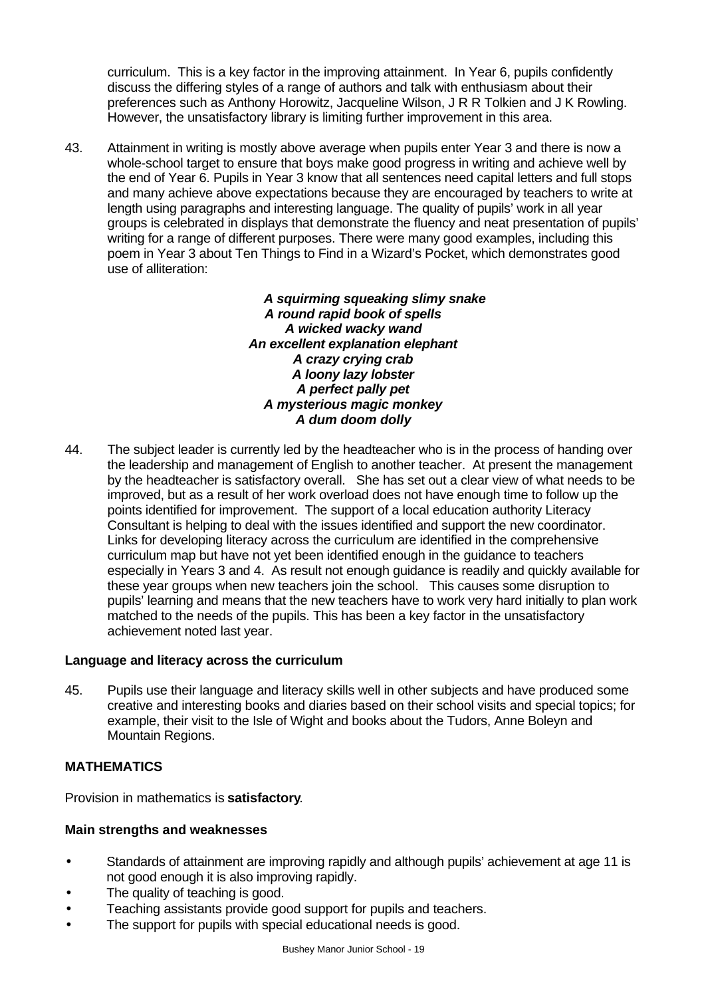curriculum. This is a key factor in the improving attainment. In Year 6, pupils confidently discuss the differing styles of a range of authors and talk with enthusiasm about their preferences such as Anthony Horowitz, Jacqueline Wilson, J R R Tolkien and J K Rowling. However, the unsatisfactory library is limiting further improvement in this area.

43. Attainment in writing is mostly above average when pupils enter Year 3 and there is now a whole-school target to ensure that boys make good progress in writing and achieve well by the end of Year 6. Pupils in Year 3 know that all sentences need capital letters and full stops and many achieve above expectations because they are encouraged by teachers to write at length using paragraphs and interesting language. The quality of pupils' work in all year groups is celebrated in displays that demonstrate the fluency and neat presentation of pupils' writing for a range of different purposes. There were many good examples, including this poem in Year 3 about Ten Things to Find in a Wizard's Pocket, which demonstrates good use of alliteration:

> *A squirming squeaking slimy snake A round rapid book of spells A wicked wacky wand An excellent explanation elephant A crazy crying crab A loony lazy lobster A perfect pally pet A mysterious magic monkey A dum doom dolly*

44. The subject leader is currently led by the headteacher who is in the process of handing over the leadership and management of English to another teacher. At present the management by the headteacher is satisfactory overall. She has set out a clear view of what needs to be improved, but as a result of her work overload does not have enough time to follow up the points identified for improvement. The support of a local education authority Literacy Consultant is helping to deal with the issues identified and support the new coordinator. Links for developing literacy across the curriculum are identified in the comprehensive curriculum map but have not yet been identified enough in the guidance to teachers especially in Years 3 and 4. As result not enough guidance is readily and quickly available for these year groups when new teachers join the school. This causes some disruption to pupils' learning and means that the new teachers have to work very hard initially to plan work matched to the needs of the pupils. This has been a key factor in the unsatisfactory achievement noted last year.

# **Language and literacy across the curriculum**

45. Pupils use their language and literacy skills well in other subjects and have produced some creative and interesting books and diaries based on their school visits and special topics; for example, their visit to the Isle of Wight and books about the Tudors, Anne Boleyn and Mountain Regions.

# **MATHEMATICS**

Provision in mathematics is **satisfactory**.

# **Main strengths and weaknesses**

- Standards of attainment are improving rapidly and although pupils' achievement at age 11 is not good enough it is also improving rapidly.
- The quality of teaching is good.
- Teaching assistants provide good support for pupils and teachers.
- The support for pupils with special educational needs is good.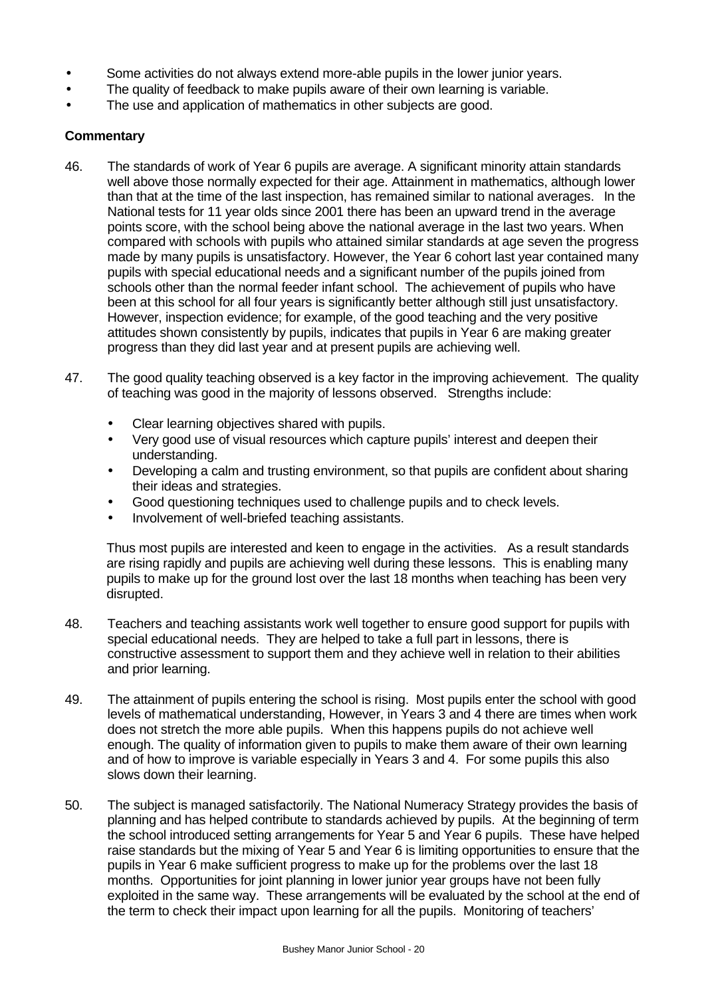- Some activities do not always extend more-able pupils in the lower junior years.
- The quality of feedback to make pupils aware of their own learning is variable.
- The use and application of mathematics in other subjects are good.

## **Commentary**

- 46. The standards of work of Year 6 pupils are average. A significant minority attain standards well above those normally expected for their age. Attainment in mathematics, although lower than that at the time of the last inspection, has remained similar to national averages.In the National tests for 11 year olds since 2001 there has been an upward trend in the average points score, with the school being above the national average in the last two years. When compared with schools with pupils who attained similar standards at age seven the progress made by many pupils is unsatisfactory. However, the Year 6 cohort last year contained many pupils with special educational needs and a significant number of the pupils joined from schools other than the normal feeder infant school. The achievement of pupils who have been at this school for all four years is significantly better although still just unsatisfactory. However, inspection evidence; for example, of the good teaching and the very positive attitudes shown consistently by pupils, indicates that pupils in Year 6 are making greater progress than they did last year and at present pupils are achieving well.
- 47. The good quality teaching observed is a key factor in the improving achievement. The quality of teaching was good in the majority of lessons observed. Strengths include:
	- Clear learning objectives shared with pupils.
	- Very good use of visual resources which capture pupils' interest and deepen their understanding.
	- Developing a calm and trusting environment, so that pupils are confident about sharing their ideas and strategies.
	- Good questioning techniques used to challenge pupils and to check levels.
	- Involvement of well-briefed teaching assistants.

Thus most pupils are interested and keen to engage in the activities. As a result standards are rising rapidly and pupils are achieving well during these lessons. This is enabling many pupils to make up for the ground lost over the last 18 months when teaching has been very disrupted.

- 48. Teachers and teaching assistants work well together to ensure good support for pupils with special educational needs. They are helped to take a full part in lessons, there is constructive assessment to support them and they achieve well in relation to their abilities and prior learning.
- 49. The attainment of pupils entering the school is rising. Most pupils enter the school with good levels of mathematical understanding, However, in Years 3 and 4 there are times when work does not stretch the more able pupils. When this happens pupils do not achieve well enough. The quality of information given to pupils to make them aware of their own learning and of how to improve is variable especially in Years 3 and 4. For some pupils this also slows down their learning.
- 50. The subject is managed satisfactorily. The National Numeracy Strategy provides the basis of planning and has helped contribute to standards achieved by pupils. At the beginning of term the school introduced setting arrangements for Year 5 and Year 6 pupils. These have helped raise standards but the mixing of Year 5 and Year 6 is limiting opportunities to ensure that the pupils in Year 6 make sufficient progress to make up for the problems over the last 18 months. Opportunities for joint planning in lower junior year groups have not been fully exploited in the same way. These arrangements will be evaluated by the school at the end of the term to check their impact upon learning for all the pupils. Monitoring of teachers'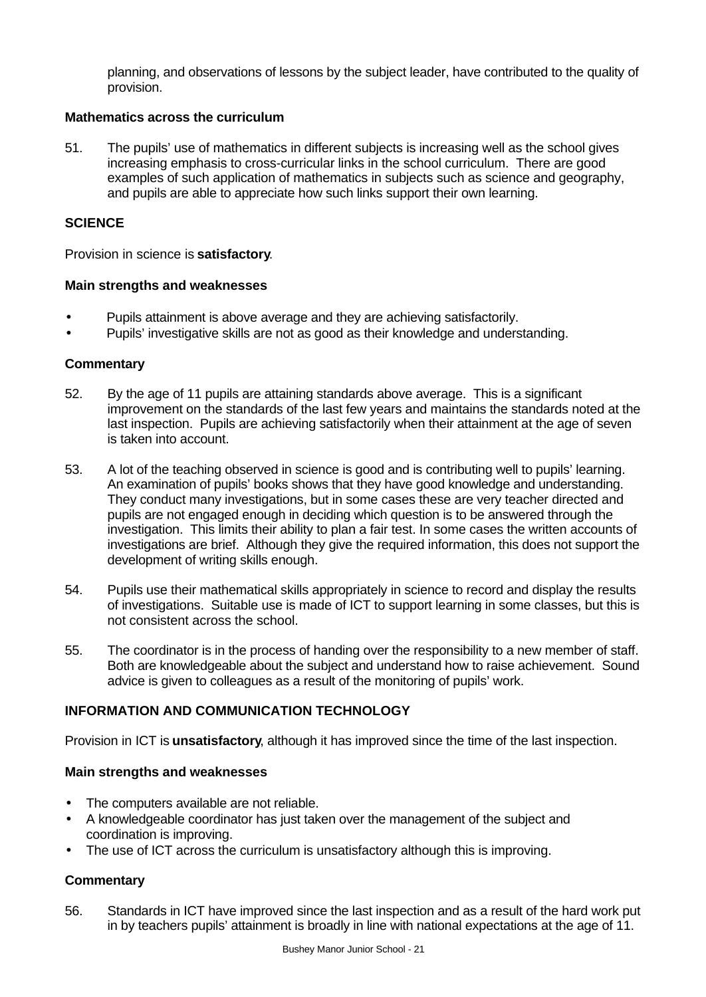planning, and observations of lessons by the subject leader, have contributed to the quality of provision.

#### **Mathematics across the curriculum**

51. The pupils' use of mathematics in different subjects is increasing well as the school gives increasing emphasis to cross-curricular links in the school curriculum. There are good examples of such application of mathematics in subjects such as science and geography, and pupils are able to appreciate how such links support their own learning.

### **SCIENCE**

Provision in science is **satisfactory**.

#### **Main strengths and weaknesses**

- Pupils attainment is above average and they are achieving satisfactorily.
- Pupils' investigative skills are not as good as their knowledge and understanding.

#### **Commentary**

- 52. By the age of 11 pupils are attaining standards above average. This is a significant improvement on the standards of the last few years and maintains the standards noted at the last inspection. Pupils are achieving satisfactorily when their attainment at the age of seven is taken into account.
- 53. A lot of the teaching observed in science is good and is contributing well to pupils' learning. An examination of pupils' books shows that they have good knowledge and understanding. They conduct many investigations, but in some cases these are very teacher directed and pupils are not engaged enough in deciding which question is to be answered through the investigation. This limits their ability to plan a fair test. In some cases the written accounts of investigations are brief. Although they give the required information, this does not support the development of writing skills enough.
- 54. Pupils use their mathematical skills appropriately in science to record and display the results of investigations. Suitable use is made of ICT to support learning in some classes, but this is not consistent across the school.
- 55. The coordinator is in the process of handing over the responsibility to a new member of staff. Both are knowledgeable about the subject and understand how to raise achievement. Sound advice is given to colleagues as a result of the monitoring of pupils' work.

## **INFORMATION AND COMMUNICATION TECHNOLOGY**

Provision in ICT is **unsatisfactory**, although it has improved since the time of the last inspection.

### **Main strengths and weaknesses**

- The computers available are not reliable.
- A knowledgeable coordinator has just taken over the management of the subject and coordination is improving.
- The use of ICT across the curriculum is unsatisfactory although this is improving.

### **Commentary**

56. Standards in ICT have improved since the last inspection and as a result of the hard work put in by teachers pupils' attainment is broadly in line with national expectations at the age of 11.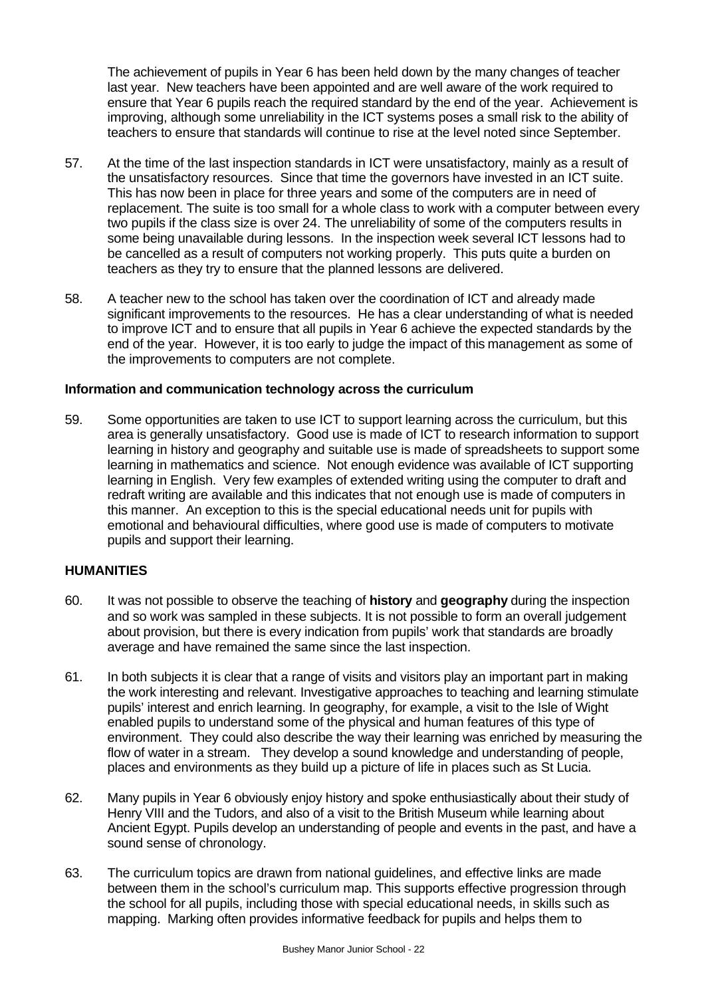The achievement of pupils in Year 6 has been held down by the many changes of teacher last year. New teachers have been appointed and are well aware of the work required to ensure that Year 6 pupils reach the required standard by the end of the year. Achievement is improving, although some unreliability in the ICT systems poses a small risk to the ability of teachers to ensure that standards will continue to rise at the level noted since September.

- 57. At the time of the last inspection standards in ICT were unsatisfactory, mainly as a result of the unsatisfactory resources. Since that time the governors have invested in an ICT suite. This has now been in place for three years and some of the computers are in need of replacement. The suite is too small for a whole class to work with a computer between every two pupils if the class size is over 24. The unreliability of some of the computers results in some being unavailable during lessons. In the inspection week several ICT lessons had to be cancelled as a result of computers not working properly. This puts quite a burden on teachers as they try to ensure that the planned lessons are delivered.
- 58. A teacher new to the school has taken over the coordination of ICT and already made significant improvements to the resources. He has a clear understanding of what is needed to improve ICT and to ensure that all pupils in Year 6 achieve the expected standards by the end of the year. However, it is too early to judge the impact of this management as some of the improvements to computers are not complete.

### **Information and communication technology across the curriculum**

59. Some opportunities are taken to use ICT to support learning across the curriculum, but this area is generally unsatisfactory. Good use is made of ICT to research information to support learning in history and geography and suitable use is made of spreadsheets to support some learning in mathematics and science. Not enough evidence was available of ICT supporting learning in English. Very few examples of extended writing using the computer to draft and redraft writing are available and this indicates that not enough use is made of computers in this manner. An exception to this is the special educational needs unit for pupils with emotional and behavioural difficulties, where good use is made of computers to motivate pupils and support their learning.

#### **HUMANITIES**

- 60. It was not possible to observe the teaching of **history** and **geography** during the inspection and so work was sampled in these subjects. It is not possible to form an overall judgement about provision, but there is every indication from pupils' work that standards are broadly average and have remained the same since the last inspection.
- 61. In both subjects it is clear that a range of visits and visitors play an important part in making the work interesting and relevant. Investigative approaches to teaching and learning stimulate pupils' interest and enrich learning. In geography, for example, a visit to the Isle of Wight enabled pupils to understand some of the physical and human features of this type of environment. They could also describe the way their learning was enriched by measuring the flow of water in a stream. They develop a sound knowledge and understanding of people, places and environments as they build up a picture of life in places such as St Lucia.
- 62. Many pupils in Year 6 obviously enjoy history and spoke enthusiastically about their study of Henry VIII and the Tudors, and also of a visit to the British Museum while learning about Ancient Egypt. Pupils develop an understanding of people and events in the past, and have a sound sense of chronology.
- 63. The curriculum topics are drawn from national guidelines, and effective links are made between them in the school's curriculum map. This supports effective progression through the school for all pupils, including those with special educational needs, in skills such as mapping. Marking often provides informative feedback for pupils and helps them to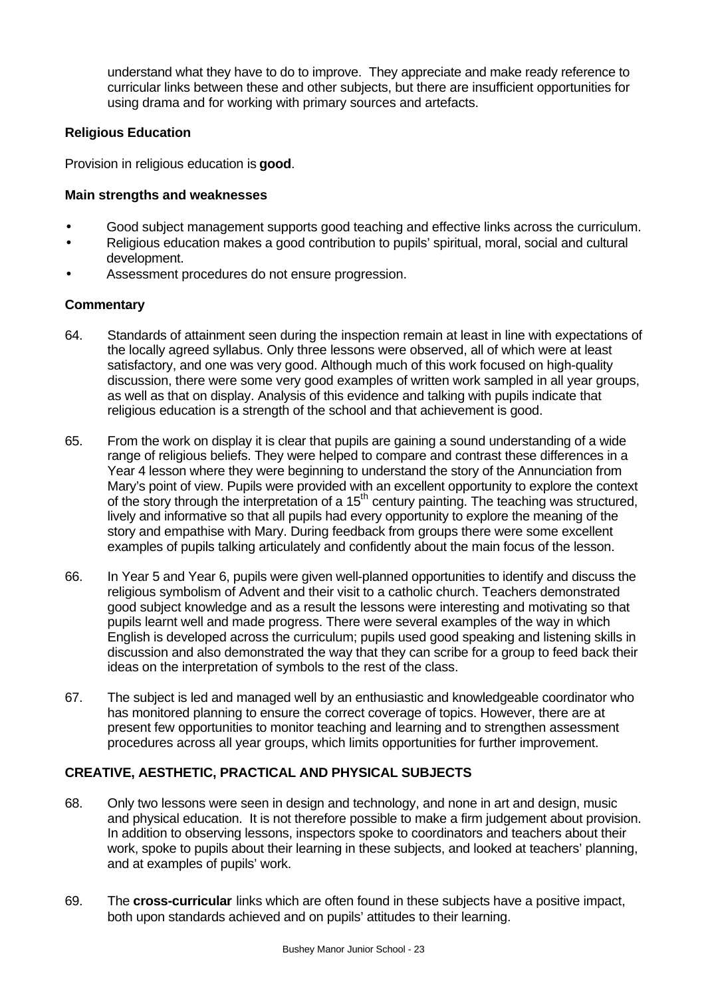understand what they have to do to improve. They appreciate and make ready reference to curricular links between these and other subjects, but there are insufficient opportunities for using drama and for working with primary sources and artefacts.

## **Religious Education**

Provision in religious education is **good**.

### **Main strengths and weaknesses**

- Good subject management supports good teaching and effective links across the curriculum.
- Religious education makes a good contribution to pupils' spiritual, moral, social and cultural development.
- Assessment procedures do not ensure progression.

### **Commentary**

- 64. Standards of attainment seen during the inspection remain at least in line with expectations of the locally agreed syllabus. Only three lessons were observed, all of which were at least satisfactory, and one was very good. Although much of this work focused on high-quality discussion, there were some very good examples of written work sampled in all year groups, as well as that on display. Analysis of this evidence and talking with pupils indicate that religious education is a strength of the school and that achievement is good.
- 65. From the work on display it is clear that pupils are gaining a sound understanding of a wide range of religious beliefs. They were helped to compare and contrast these differences in a Year 4 lesson where they were beginning to understand the story of the Annunciation from Mary's point of view. Pupils were provided with an excellent opportunity to explore the context of the story through the interpretation of a 15<sup>th</sup> century painting. The teaching was structured, lively and informative so that all pupils had every opportunity to explore the meaning of the story and empathise with Mary. During feedback from groups there were some excellent examples of pupils talking articulately and confidently about the main focus of the lesson.
- 66. In Year 5 and Year 6, pupils were given well-planned opportunities to identify and discuss the religious symbolism of Advent and their visit to a catholic church. Teachers demonstrated good subject knowledge and as a result the lessons were interesting and motivating so that pupils learnt well and made progress. There were several examples of the way in which English is developed across the curriculum; pupils used good speaking and listening skills in discussion and also demonstrated the way that they can scribe for a group to feed back their ideas on the interpretation of symbols to the rest of the class.
- 67. The subject is led and managed well by an enthusiastic and knowledgeable coordinator who has monitored planning to ensure the correct coverage of topics. However, there are at present few opportunities to monitor teaching and learning and to strengthen assessment procedures across all year groups, which limits opportunities for further improvement.

## **CREATIVE, AESTHETIC, PRACTICAL AND PHYSICAL SUBJECTS**

- 68. Only two lessons were seen in design and technology, and none in art and design, music and physical education. It is not therefore possible to make a firm judgement about provision. In addition to observing lessons, inspectors spoke to coordinators and teachers about their work, spoke to pupils about their learning in these subjects, and looked at teachers' planning, and at examples of pupils' work.
- 69. The **cross-curricular** links which are often found in these subjects have a positive impact, both upon standards achieved and on pupils' attitudes to their learning.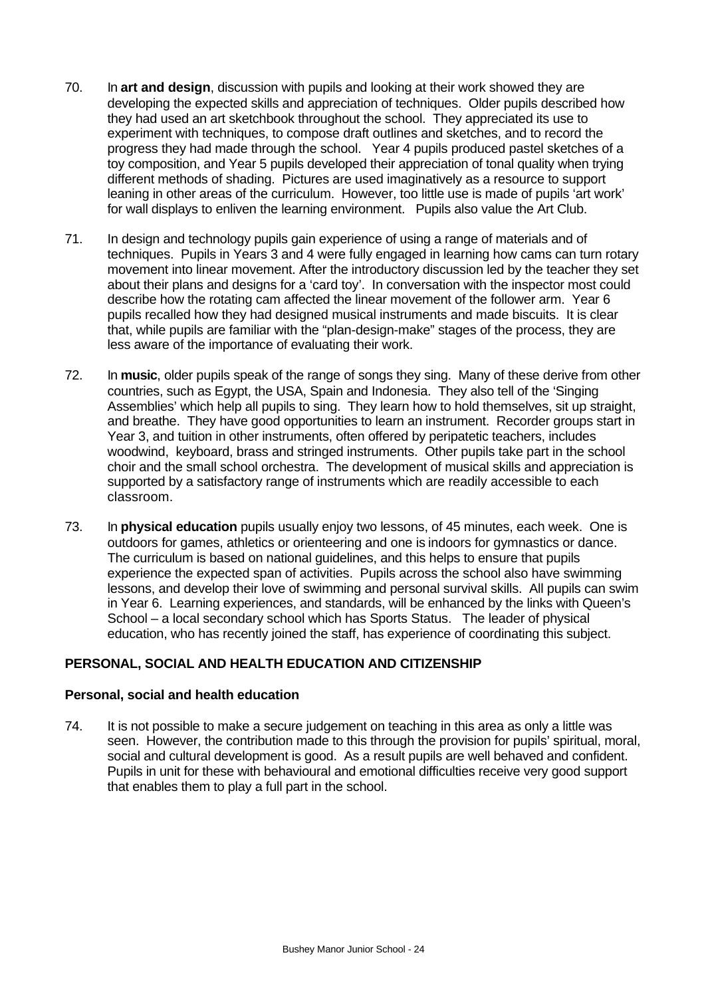- 70. In **art and design**, discussion with pupils and looking at their work showed they are developing the expected skills and appreciation of techniques. Older pupils described how they had used an art sketchbook throughout the school. They appreciated its use to experiment with techniques, to compose draft outlines and sketches, and to record the progress they had made through the school. Year 4 pupils produced pastel sketches of a toy composition, and Year 5 pupils developed their appreciation of tonal quality when trying different methods of shading. Pictures are used imaginatively as a resource to support leaning in other areas of the curriculum. However, too little use is made of pupils 'art work' for wall displays to enliven the learning environment. Pupils also value the Art Club.
- 71. In design and technology pupils gain experience of using a range of materials and of techniques. Pupils in Years 3 and 4 were fully engaged in learning how cams can turn rotary movement into linear movement. After the introductory discussion led by the teacher they set about their plans and designs for a 'card toy'. In conversation with the inspector most could describe how the rotating cam affected the linear movement of the follower arm. Year 6 pupils recalled how they had designed musical instruments and made biscuits. It is clear that, while pupils are familiar with the "plan-design-make" stages of the process, they are less aware of the importance of evaluating their work.
- 72. In **music**, older pupils speak of the range of songs they sing. Many of these derive from other countries, such as Egypt, the USA, Spain and Indonesia. They also tell of the 'Singing Assemblies' which help all pupils to sing. They learn how to hold themselves, sit up straight, and breathe. They have good opportunities to learn an instrument. Recorder groups start in Year 3, and tuition in other instruments, often offered by peripatetic teachers, includes woodwind, keyboard, brass and stringed instruments. Other pupils take part in the school choir and the small school orchestra. The development of musical skills and appreciation is supported by a satisfactory range of instruments which are readily accessible to each classroom.
- 73. In **physical education** pupils usually enjoy two lessons, of 45 minutes, each week. One is outdoors for games, athletics or orienteering and one is indoors for gymnastics or dance. The curriculum is based on national guidelines, and this helps to ensure that pupils experience the expected span of activities. Pupils across the school also have swimming lessons, and develop their love of swimming and personal survival skills. All pupils can swim in Year 6. Learning experiences, and standards, will be enhanced by the links with Queen's School – a local secondary school which has Sports Status. The leader of physical education, who has recently joined the staff, has experience of coordinating this subject.

# **PERSONAL, SOCIAL AND HEALTH EDUCATION AND CITIZENSHIP**

### **Personal, social and health education**

74. It is not possible to make a secure judgement on teaching in this area as only a little was seen. However, the contribution made to this through the provision for pupils' spiritual, moral, social and cultural development is good. As a result pupils are well behaved and confident. Pupils in unit for these with behavioural and emotional difficulties receive very good support that enables them to play a full part in the school.